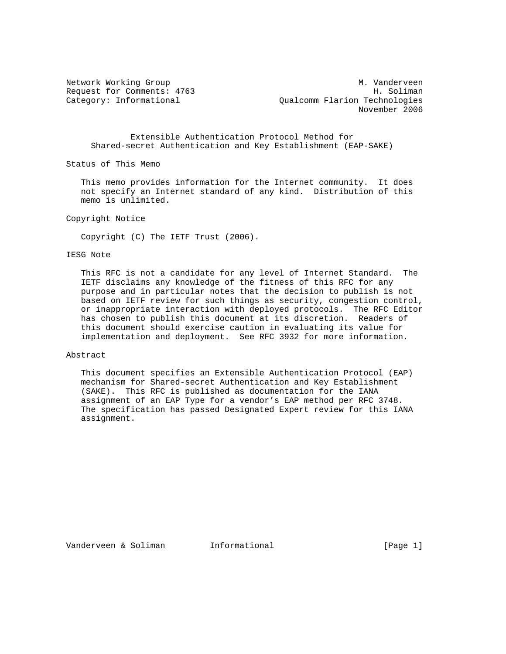Network Working Group Metwork Muslim Communication of Muslim Muslim Muslim Muslim Muslim Muslim Muslim Muslim M Request for Comments: 4763 H. Soliman Category: Informational Qualcomm Flarion Technologies November 2006

# Extensible Authentication Protocol Method for Shared-secret Authentication and Key Establishment (EAP-SAKE)

Status of This Memo

 This memo provides information for the Internet community. It does not specify an Internet standard of any kind. Distribution of this memo is unlimited.

Copyright Notice

Copyright (C) The IETF Trust (2006).

### IESG Note

 This RFC is not a candidate for any level of Internet Standard. The IETF disclaims any knowledge of the fitness of this RFC for any purpose and in particular notes that the decision to publish is not based on IETF review for such things as security, congestion control, or inappropriate interaction with deployed protocols. The RFC Editor has chosen to publish this document at its discretion. Readers of this document should exercise caution in evaluating its value for implementation and deployment. See RFC 3932 for more information.

#### Abstract

 This document specifies an Extensible Authentication Protocol (EAP) mechanism for Shared-secret Authentication and Key Establishment (SAKE). This RFC is published as documentation for the IANA assignment of an EAP Type for a vendor's EAP method per RFC 3748. The specification has passed Designated Expert review for this IANA assignment.

Vanderveen & Soliman Informational (Page 1)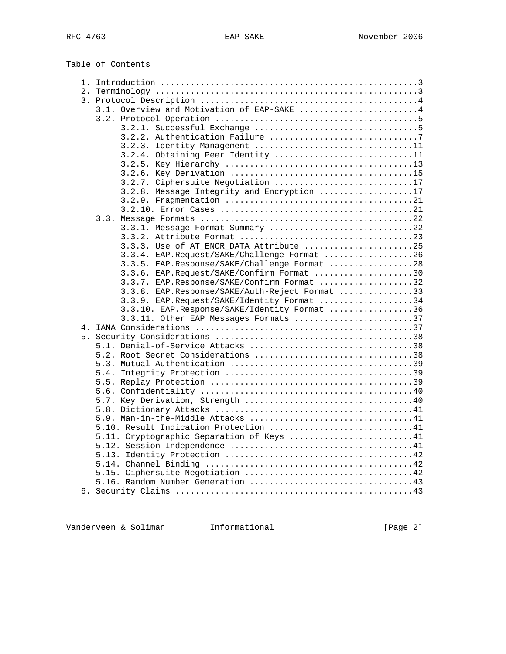Table of Contents

| 3.1. Overview and Motivation of EAP-SAKE 4     |  |
|------------------------------------------------|--|
|                                                |  |
|                                                |  |
|                                                |  |
| 3.2.3. Identity Management 11                  |  |
| 3.2.4. Obtaining Peer Identity 11              |  |
|                                                |  |
|                                                |  |
| 3.2.7. Ciphersuite Negotiation 17              |  |
| 3.2.8. Message Integrity and Encryption 17     |  |
|                                                |  |
|                                                |  |
|                                                |  |
| 3.3.1. Message Format Summary 22               |  |
|                                                |  |
| 3.3.3. Use of AT ENCR DATA Attribute 25        |  |
| 3.3.4. EAP.Request/SAKE/Challenge Format 26    |  |
| 3.3.5. EAP.Response/SAKE/Challenge Format 28   |  |
| 3.3.6. EAP.Request/SAKE/Confirm Format 30      |  |
| 3.3.7. EAP.Response/SAKE/Confirm Format 32     |  |
|                                                |  |
| 3.3.8. EAP.Response/SAKE/Auth-Reject Format 33 |  |
| 3.3.9. EAP.Request/SAKE/Identity Format 34     |  |
| 3.3.10. EAP.Response/SAKE/Identity Format 36   |  |
| 3.3.11. Other EAP Messages Formats 37          |  |
|                                                |  |
|                                                |  |
| 5.1. Denial-of-Service Attacks 38              |  |
| 5.2. Root Secret Considerations 38             |  |
|                                                |  |
|                                                |  |
|                                                |  |
|                                                |  |
|                                                |  |
|                                                |  |
|                                                |  |
| 5.10. Result Indication Protection 41          |  |
| 5.11. Cryptographic Separation of Keys 41      |  |
|                                                |  |
|                                                |  |
|                                                |  |
|                                                |  |
|                                                |  |
|                                                |  |
|                                                |  |

Vanderveen & Soliman Informational (Page 2)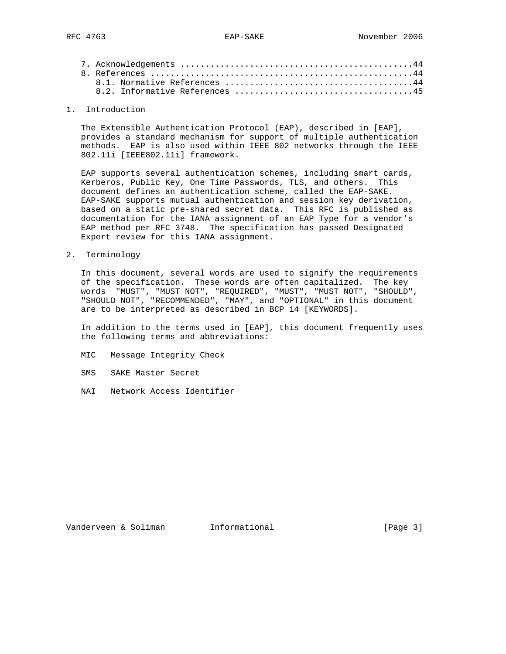# 1. Introduction

 The Extensible Authentication Protocol (EAP), described in [EAP], provides a standard mechanism for support of multiple authentication methods. EAP is also used within IEEE 802 networks through the IEEE 802.11i [IEEE802.11i] framework.

 EAP supports several authentication schemes, including smart cards, Kerberos, Public Key, One Time Passwords, TLS, and others. This document defines an authentication scheme, called the EAP-SAKE. EAP-SAKE supports mutual authentication and session key derivation, based on a static pre-shared secret data. This RFC is published as documentation for the IANA assignment of an EAP Type for a vendor's EAP method per RFC 3748. The specification has passed Designated Expert review for this IANA assignment.

2. Terminology

 In this document, several words are used to signify the requirements of the specification. These words are often capitalized. The key words "MUST", "MUST NOT", "REQUIRED", "MUST", "MUST NOT", "SHOULD", "SHOULD NOT", "RECOMMENDED", "MAY", and "OPTIONAL" in this document are to be interpreted as described in BCP 14 [KEYWORDS].

 In addition to the terms used in [EAP], this document frequently uses the following terms and abbreviations:

- MIC Message Integrity Check
- SMS SAKE Master Secret
- NAI Network Access Identifier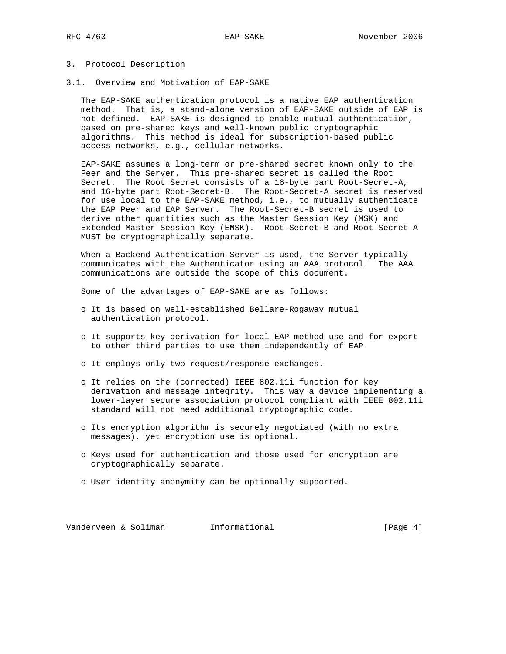# 3. Protocol Description

3.1. Overview and Motivation of EAP-SAKE

 The EAP-SAKE authentication protocol is a native EAP authentication method. That is, a stand-alone version of EAP-SAKE outside of EAP is not defined. EAP-SAKE is designed to enable mutual authentication, based on pre-shared keys and well-known public cryptographic algorithms. This method is ideal for subscription-based public access networks, e.g., cellular networks.

 EAP-SAKE assumes a long-term or pre-shared secret known only to the Peer and the Server. This pre-shared secret is called the Root Secret. The Root Secret consists of a 16-byte part Root-Secret-A, and 16-byte part Root-Secret-B. The Root-Secret-A secret is reserved for use local to the EAP-SAKE method, i.e., to mutually authenticate the EAP Peer and EAP Server. The Root-Secret-B secret is used to derive other quantities such as the Master Session Key (MSK) and Extended Master Session Key (EMSK). Root-Secret-B and Root-Secret-A MUST be cryptographically separate.

 When a Backend Authentication Server is used, the Server typically communicates with the Authenticator using an AAA protocol. The AAA communications are outside the scope of this document.

Some of the advantages of EAP-SAKE are as follows:

- o It is based on well-established Bellare-Rogaway mutual authentication protocol.
- o It supports key derivation for local EAP method use and for export to other third parties to use them independently of EAP.
- o It employs only two request/response exchanges.
- o It relies on the (corrected) IEEE 802.11i function for key derivation and message integrity. This way a device implementing a lower-layer secure association protocol compliant with IEEE 802.11i standard will not need additional cryptographic code.
- o Its encryption algorithm is securely negotiated (with no extra messages), yet encryption use is optional.
- o Keys used for authentication and those used for encryption are cryptographically separate.
- o User identity anonymity can be optionally supported.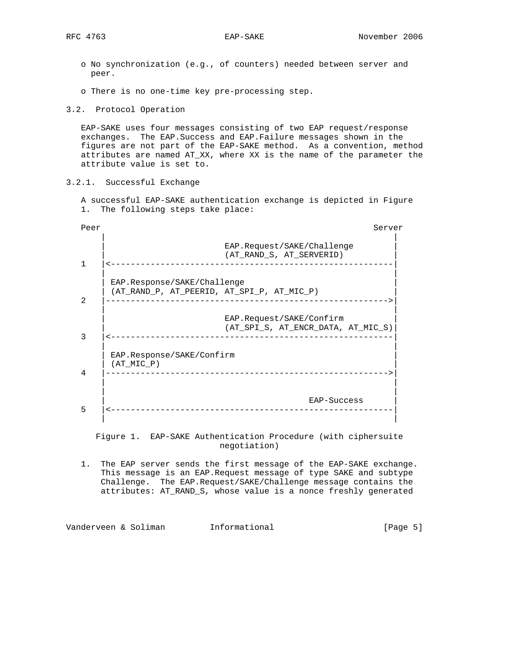- o No synchronization (e.g., of counters) needed between server and peer.
- o There is no one-time key pre-processing step.
- 3.2. Protocol Operation

 EAP-SAKE uses four messages consisting of two EAP request/response exchanges. The EAP.Success and EAP.Failure messages shown in the figures are not part of the EAP-SAKE method. As a convention, method attributes are named AT\_XX, where XX is the name of the parameter the attribute value is set to.

3.2.1. Successful Exchange

 A successful EAP-SAKE authentication exchange is depicted in Figure 1. The following steps take place:

| Peer           | Server                                                                    |
|----------------|---------------------------------------------------------------------------|
|                | EAP.Request/SAKE/Challenge<br>(AT RAND S, AT SERVERID)                    |
| $\mathfrak{D}$ | EAP.Response/SAKE/Challenge<br>(AT RAND P, AT PEERID, AT SPI P, AT MIC P) |
| 3              | EAP.Request/SAKE/Confirm<br>(AT SPI S, AT ENCR DATA, AT MIC S)            |
| 4              | EAP.Response/SAKE/Confirm<br>$(AT$ MIC $P)$<br>____________________       |
| 5              | EAP-Success<br>__________________                                         |

 Figure 1. EAP-SAKE Authentication Procedure (with ciphersuite negotiation)

 1. The EAP server sends the first message of the EAP-SAKE exchange. This message is an EAP.Request message of type SAKE and subtype Challenge. The EAP.Request/SAKE/Challenge message contains the attributes: AT\_RAND\_S, whose value is a nonce freshly generated

Vanderveen & Soliman Informational (Page 5)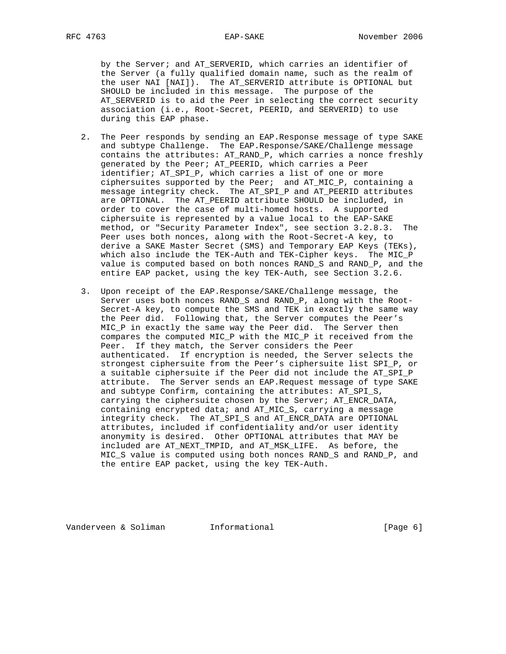by the Server; and AT\_SERVERID, which carries an identifier of the Server (a fully qualified domain name, such as the realm of the user NAI [NAI]). The AT\_SERVERID attribute is OPTIONAL but SHOULD be included in this message. The purpose of the AT\_SERVERID is to aid the Peer in selecting the correct security association (i.e., Root-Secret, PEERID, and SERVERID) to use during this EAP phase.

- 2. The Peer responds by sending an EAP.Response message of type SAKE and subtype Challenge. The EAP.Response/SAKE/Challenge message contains the attributes: AT\_RAND\_P, which carries a nonce freshly generated by the Peer; AT\_PEERID, which carries a Peer identifier; AT\_SPI\_P, which carries a list of one or more ciphersuites supported by the Peer; and AT\_MIC\_P, containing a message integrity check. The AT\_SPI\_P and AT\_PEERID attributes are OPTIONAL. The AT\_PEERID attribute SHOULD be included, in order to cover the case of multi-homed hosts. A supported ciphersuite is represented by a value local to the EAP-SAKE method, or "Security Parameter Index", see section 3.2.8.3. The Peer uses both nonces, along with the Root-Secret-A key, to derive a SAKE Master Secret (SMS) and Temporary EAP Keys (TEKs), which also include the TEK-Auth and TEK-Cipher keys. The MIC P value is computed based on both nonces RAND\_S and RAND\_P, and the entire EAP packet, using the key TEK-Auth, see Section 3.2.6.
- 3. Upon receipt of the EAP.Response/SAKE/Challenge message, the Server uses both nonces RAND\_S and RAND\_P, along with the Root- Secret-A key, to compute the SMS and TEK in exactly the same way the Peer did. Following that, the Server computes the Peer's MIC\_P in exactly the same way the Peer did. The Server then compares the computed MIC\_P with the MIC\_P it received from the Peer. If they match, the Server considers the Peer authenticated. If encryption is needed, the Server selects the strongest ciphersuite from the Peer's ciphersuite list SPI\_P, or a suitable ciphersuite if the Peer did not include the AT\_SPI\_P attribute. The Server sends an EAP.Request message of type SAKE and subtype Confirm, containing the attributes: AT\_SPI\_S, carrying the ciphersuite chosen by the Server; AT\_ENCR\_DATA, containing encrypted data; and AT\_MIC\_S, carrying a message integrity check. The AT\_SPI\_S and AT\_ENCR\_DATA are OPTIONAL attributes, included if confidentiality and/or user identity anonymity is desired. Other OPTIONAL attributes that MAY be included are AT\_NEXT\_TMPID, and AT\_MSK\_LIFE. As before, the MIC\_S value is computed using both nonces RAND\_S and RAND\_P, and the entire EAP packet, using the key TEK-Auth.

Vanderveen & Soliman Informational (Page 6)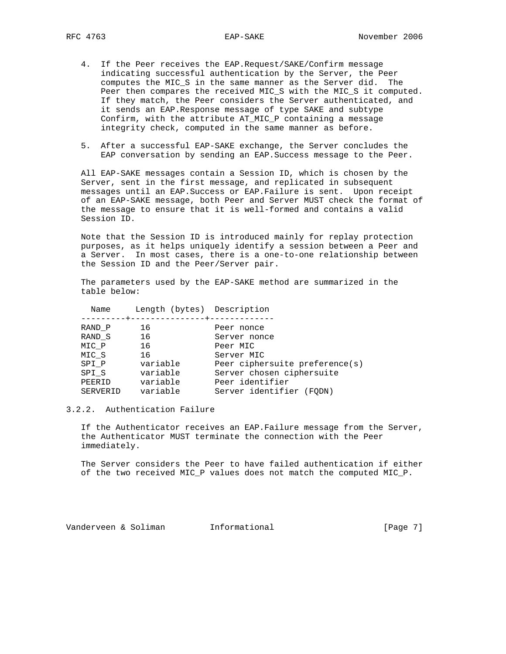- 4. If the Peer receives the EAP.Request/SAKE/Confirm message indicating successful authentication by the Server, the Peer computes the MIC\_S in the same manner as the Server did. The Peer then compares the received MIC\_S with the MIC\_S it computed. If they match, the Peer considers the Server authenticated, and it sends an EAP.Response message of type SAKE and subtype Confirm, with the attribute AT\_MIC\_P containing a message integrity check, computed in the same manner as before.
- 5. After a successful EAP-SAKE exchange, the Server concludes the EAP conversation by sending an EAP.Success message to the Peer.

 All EAP-SAKE messages contain a Session ID, which is chosen by the Server, sent in the first message, and replicated in subsequent messages until an EAP.Success or EAP.Failure is sent. Upon receipt of an EAP-SAKE message, both Peer and Server MUST check the format of the message to ensure that it is well-formed and contains a valid Session ID.

 Note that the Session ID is introduced mainly for replay protection purposes, as it helps uniquely identify a session between a Peer and a Server. In most cases, there is a one-to-one relationship between the Session ID and the Peer/Server pair.

 The parameters used by the EAP-SAKE method are summarized in the table below:

| Name     | Length (bytes) Description     |                                |
|----------|--------------------------------|--------------------------------|
| RAND P   | -------+--------------+-<br>16 | Peer nonce                     |
| RAND S   | 16                             | Server nonce                   |
| MIC P    | 16                             | Peer MIC                       |
| MIC S    | 16                             | Server MIC                     |
| SPI P    | variable                       | Peer ciphersuite preference(s) |
| SPI S    | variable                       | Server chosen ciphersuite      |
| PEERID   | variable                       | Peer identifier                |
| SERVERID | variable                       | Server identifier (FODN)       |
|          |                                |                                |

# 3.2.2. Authentication Failure

 If the Authenticator receives an EAP.Failure message from the Server, the Authenticator MUST terminate the connection with the Peer immediately.

 The Server considers the Peer to have failed authentication if either of the two received MIC\_P values does not match the computed MIC\_P.

Vanderveen & Soliman Informational (Page 7)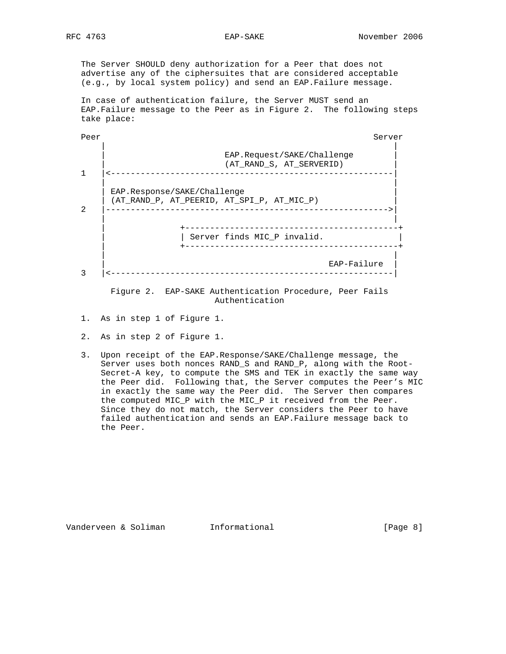The Server SHOULD deny authorization for a Peer that does not advertise any of the ciphersuites that are considered acceptable (e.g., by local system policy) and send an EAP.Failure message.

 In case of authentication failure, the Server MUST send an EAP.Failure message to the Peer as in Figure 2. The following steps take place:

| Peer          | Server                                                                          |
|---------------|---------------------------------------------------------------------------------|
|               | EAP.Request/SAKE/Challenge<br>(AT RAND S, AT SERVERID)                          |
|               |                                                                                 |
|               | EAP.Response/SAKE/Challenge                                                     |
| $\mathcal{D}$ | (AT RAND P, AT PEERID, AT SPI P, AT MIC P)<br>. _ _ _ _ _ _ _ _ _ _ _ _ _ _ _ _ |
|               |                                                                                 |
|               | Server finds MIC_P invalid.                                                     |
|               |                                                                                 |
|               | EAP-Failure                                                                     |
| 3             |                                                                                 |
|               | Figure 2. EAP-SAKE Authentication Procedure, Peer Fails<br>Authentication       |

- 1. As in step 1 of Figure 1.
- 2. As in step 2 of Figure 1.
- 3. Upon receipt of the EAP.Response/SAKE/Challenge message, the Server uses both nonces RAND\_S and RAND\_P, along with the Root- Secret-A key, to compute the SMS and TEK in exactly the same way the Peer did. Following that, the Server computes the Peer's MIC in exactly the same way the Peer did. The Server then compares the computed MIC\_P with the MIC\_P it received from the Peer. Since they do not match, the Server considers the Peer to have failed authentication and sends an EAP.Failure message back to the Peer.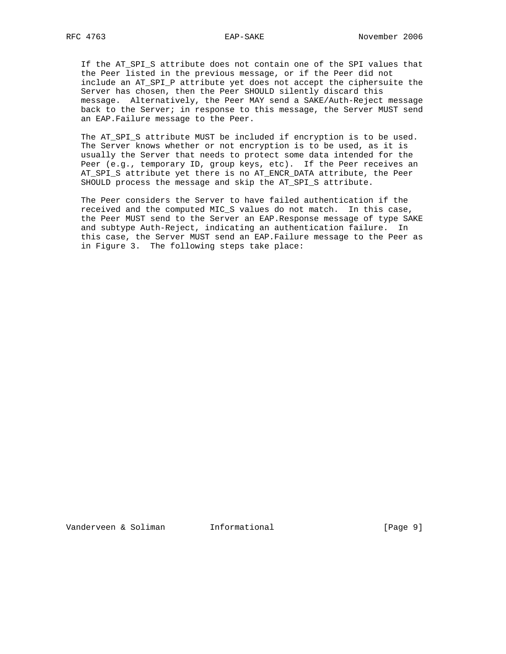If the AT\_SPI\_S attribute does not contain one of the SPI values that the Peer listed in the previous message, or if the Peer did not include an AT\_SPI\_P attribute yet does not accept the ciphersuite the Server has chosen, then the Peer SHOULD silently discard this message. Alternatively, the Peer MAY send a SAKE/Auth-Reject message back to the Server; in response to this message, the Server MUST send an EAP.Failure message to the Peer.

 The AT\_SPI\_S attribute MUST be included if encryption is to be used. The Server knows whether or not encryption is to be used, as it is usually the Server that needs to protect some data intended for the Peer (e.g., temporary ID, group keys, etc). If the Peer receives an AT\_SPI\_S attribute yet there is no AT\_ENCR\_DATA attribute, the Peer SHOULD process the message and skip the AT\_SPI\_S attribute.

 The Peer considers the Server to have failed authentication if the received and the computed MIC\_S values do not match. In this case, the Peer MUST send to the Server an EAP.Response message of type SAKE and subtype Auth-Reject, indicating an authentication failure. In this case, the Server MUST send an EAP.Failure message to the Peer as in Figure 3. The following steps take place: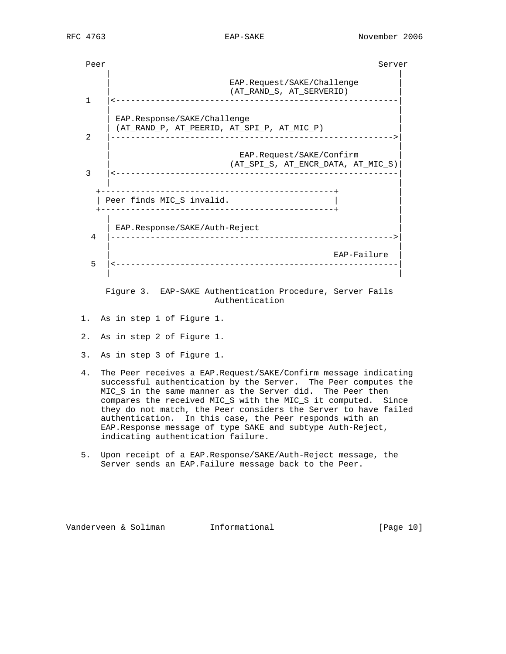

 Figure 3. EAP-SAKE Authentication Procedure, Server Fails Authentication

- 1. As in step 1 of Figure 1.
- 2. As in step 2 of Figure 1.
- 3. As in step 3 of Figure 1.
- 4. The Peer receives a EAP.Request/SAKE/Confirm message indicating successful authentication by the Server. The Peer computes the MIC\_S in the same manner as the Server did. The Peer then compares the received MIC\_S with the MIC\_S it computed. Since they do not match, the Peer considers the Server to have failed authentication. In this case, the Peer responds with an EAP.Response message of type SAKE and subtype Auth-Reject, indicating authentication failure.
- 5. Upon receipt of a EAP.Response/SAKE/Auth-Reject message, the Server sends an EAP.Failure message back to the Peer.

Vanderveen & Soliman Informational [Page 10]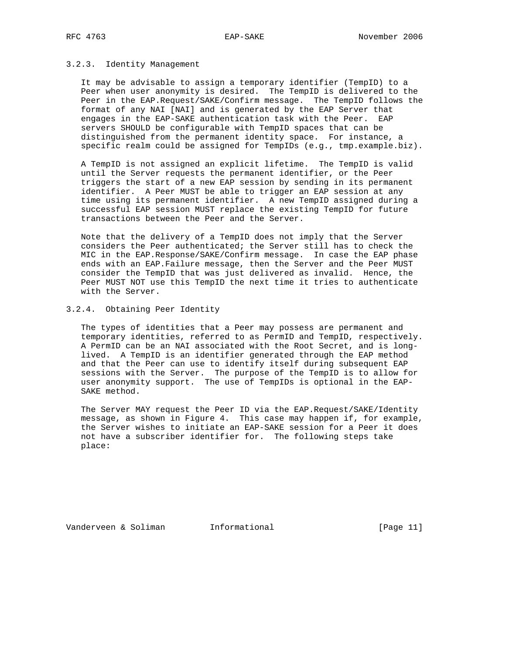# 3.2.3. Identity Management

 It may be advisable to assign a temporary identifier (TempID) to a Peer when user anonymity is desired. The TempID is delivered to the Peer in the EAP.Request/SAKE/Confirm message. The TempID follows the format of any NAI [NAI] and is generated by the EAP Server that engages in the EAP-SAKE authentication task with the Peer. EAP servers SHOULD be configurable with TempID spaces that can be distinguished from the permanent identity space. For instance, a specific realm could be assigned for TempIDs (e.g., tmp.example.biz).

 A TempID is not assigned an explicit lifetime. The TempID is valid until the Server requests the permanent identifier, or the Peer triggers the start of a new EAP session by sending in its permanent identifier. A Peer MUST be able to trigger an EAP session at any time using its permanent identifier. A new TempID assigned during a successful EAP session MUST replace the existing TempID for future transactions between the Peer and the Server.

 Note that the delivery of a TempID does not imply that the Server considers the Peer authenticated; the Server still has to check the MIC in the EAP.Response/SAKE/Confirm message. In case the EAP phase ends with an EAP.Failure message, then the Server and the Peer MUST consider the TempID that was just delivered as invalid. Hence, the Peer MUST NOT use this TempID the next time it tries to authenticate with the Server.

# 3.2.4. Obtaining Peer Identity

 The types of identities that a Peer may possess are permanent and temporary identities, referred to as PermID and TempID, respectively. A PermID can be an NAI associated with the Root Secret, and is long lived. A TempID is an identifier generated through the EAP method and that the Peer can use to identify itself during subsequent EAP sessions with the Server. The purpose of the TempID is to allow for user anonymity support. The use of TempIDs is optional in the EAP- SAKE method.

 The Server MAY request the Peer ID via the EAP.Request/SAKE/Identity message, as shown in Figure 4. This case may happen if, for example, the Server wishes to initiate an EAP-SAKE session for a Peer it does not have a subscriber identifier for. The following steps take place:

Vanderveen & Soliman Informational [Page 11]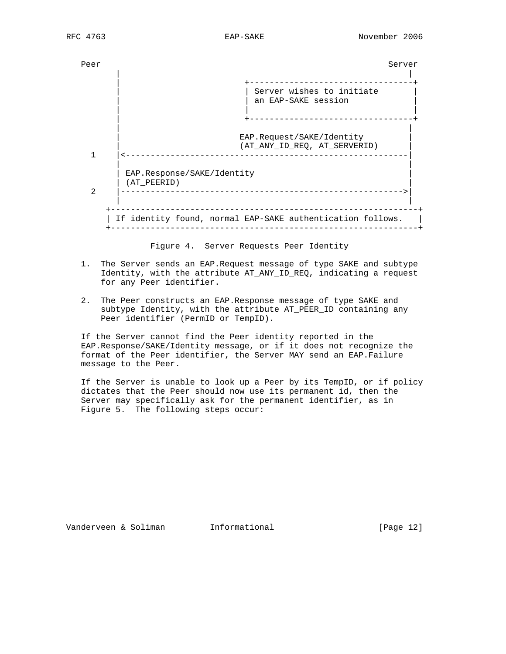

Figure 4. Server Requests Peer Identity

- 1. The Server sends an EAP.Request message of type SAKE and subtype Identity, with the attribute AT\_ANY\_ID\_REQ, indicating a request for any Peer identifier.
- 2. The Peer constructs an EAP.Response message of type SAKE and subtype Identity, with the attribute AT\_PEER\_ID containing any Peer identifier (PermID or TempID).

 If the Server cannot find the Peer identity reported in the EAP.Response/SAKE/Identity message, or if it does not recognize the format of the Peer identifier, the Server MAY send an EAP.Failure message to the Peer.

 If the Server is unable to look up a Peer by its TempID, or if policy dictates that the Peer should now use its permanent id, then the Server may specifically ask for the permanent identifier, as in Figure 5. The following steps occur:

Vanderveen & Soliman Informational [Page 12]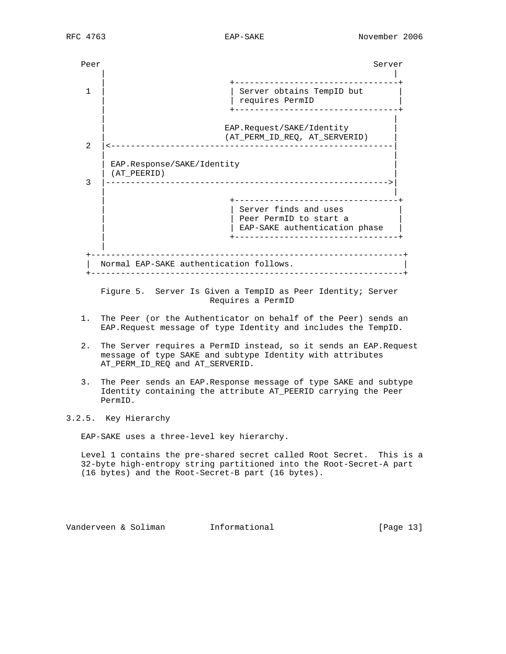Peer Server Server Server Server Server Server Server Server Server Server Server Server Server Server Server | | | +---------------------------------+ 1 | | Server obtains TempID but | | requires PermID | +---------------------------------+ | | EAP.Request/SAKE/Identity | (AT\_PERM\_ID\_REQ, AT\_SERVERID) | 2 |<---------------------------------------------------------| | | EAP.Response/SAKE/Identity | (AT\_PEERID) | 3 |--------------------------------------------------------->| | | | +---------------------------------+ | Server finds and uses | Peer PermID to start a | EAP-SAKE authentication phase | +---------------------------------+ | +---------------------------------------------------------------+ | Normal EAP-SAKE authentication follows. +---------------------------------------------------------------+

 Figure 5. Server Is Given a TempID as Peer Identity; Server Requires a PermID

- 1. The Peer (or the Authenticator on behalf of the Peer) sends an EAP.Request message of type Identity and includes the TempID.
- 2. The Server requires a PermID instead, so it sends an EAP.Request message of type SAKE and subtype Identity with attributes AT\_PERM\_ID\_REQ and AT\_SERVERID.
- 3. The Peer sends an EAP.Response message of type SAKE and subtype Identity containing the attribute AT\_PEERID carrying the Peer PermID.

3.2.5. Key Hierarchy

EAP-SAKE uses a three-level key hierarchy.

 Level 1 contains the pre-shared secret called Root Secret. This is a 32-byte high-entropy string partitioned into the Root-Secret-A part (16 bytes) and the Root-Secret-B part (16 bytes).

Vanderveen & Soliman Informational [Page 13]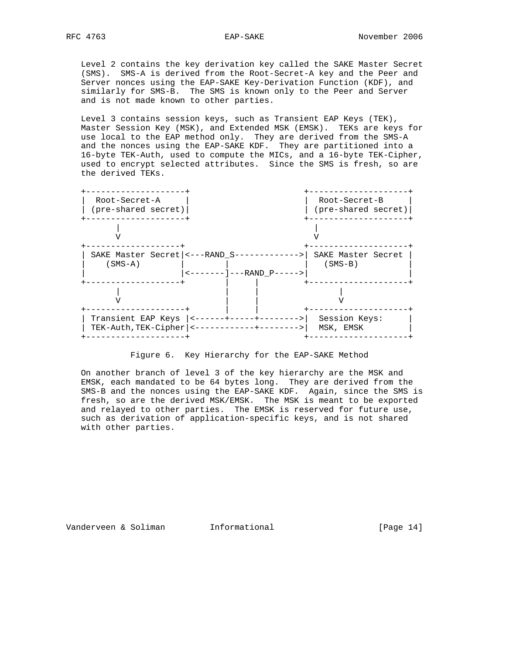Level 2 contains the key derivation key called the SAKE Master Secret (SMS). SMS-A is derived from the Root-Secret-A key and the Peer and Server nonces using the EAP-SAKE Key-Derivation Function (KDF), and similarly for SMS-B. The SMS is known only to the Peer and Server and is not made known to other parties.

 Level 3 contains session keys, such as Transient EAP Keys (TEK), Master Session Key (MSK), and Extended MSK (EMSK). TEKs are keys for use local to the EAP method only. They are derived from the SMS-A and the nonces using the EAP-SAKE KDF. They are partitioned into a 16-byte TEK-Auth, used to compute the MICs, and a 16-byte TEK-Cipher, used to encrypt selected attributes. Since the SMS is fresh, so are the derived TEKs.



Figure 6. Key Hierarchy for the EAP-SAKE Method

 On another branch of level 3 of the key hierarchy are the MSK and EMSK, each mandated to be 64 bytes long. They are derived from the SMS-B and the nonces using the EAP-SAKE KDF. Again, since the SMS is fresh, so are the derived MSK/EMSK. The MSK is meant to be exported and relayed to other parties. The EMSK is reserved for future use, such as derivation of application-specific keys, and is not shared with other parties.

Vanderveen & Soliman and Informational and Informational [Page 14]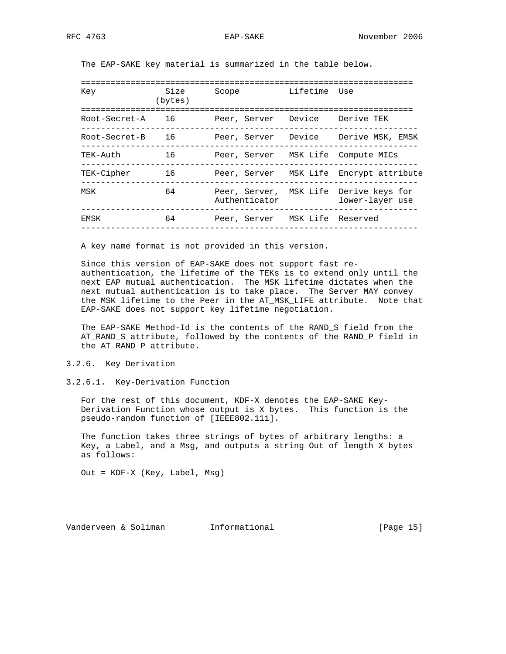The EAP-SAKE key material is summarized in the table below.

| Key           | Size<br>(bytes) | Scope                              | Lifetime Use      |                                                           |
|---------------|-----------------|------------------------------------|-------------------|-----------------------------------------------------------|
| Root-Secret-A | 16              | Peer, Server                       | Device            | Derive TEK                                                |
| Root-Secret-B | 16              | Peer, Server                       |                   | Device    Derive MSK, EMSK                                |
| TEK-Auth      | 16              | Peer, Server MSK Life Compute MICs |                   |                                                           |
| TEK-Cipher    | 16              | Peer, Server                       |                   | MSK Life Encrypt attribute                                |
| MSK           | 64              | Authenticator                      |                   | Peer, Server, MSK Life Derive keys for<br>lower-layer use |
| EMSK          | 64              | Peer, Server                       | MSK Life Reserved |                                                           |
|               |                 |                                    |                   |                                                           |

A key name format is not provided in this version.

 Since this version of EAP-SAKE does not support fast re authentication, the lifetime of the TEKs is to extend only until the next EAP mutual authentication. The MSK lifetime dictates when the next mutual authentication is to take place. The Server MAY convey the MSK lifetime to the Peer in the AT\_MSK\_LIFE attribute. Note that EAP-SAKE does not support key lifetime negotiation.

 The EAP-SAKE Method-Id is the contents of the RAND\_S field from the AT\_RAND\_S attribute, followed by the contents of the RAND\_P field in the AT\_RAND\_P attribute.

3.2.6. Key Derivation

3.2.6.1. Key-Derivation Function

 For the rest of this document, KDF-X denotes the EAP-SAKE Key- Derivation Function whose output is X bytes. This function is the pseudo-random function of [IEEE802.11i].

 The function takes three strings of bytes of arbitrary lengths: a Key, a Label, and a Msg, and outputs a string Out of length X bytes as follows:

Out = KDF-X (Key, Label, Msg)

Vanderveen & Soliman Informational (Page 15)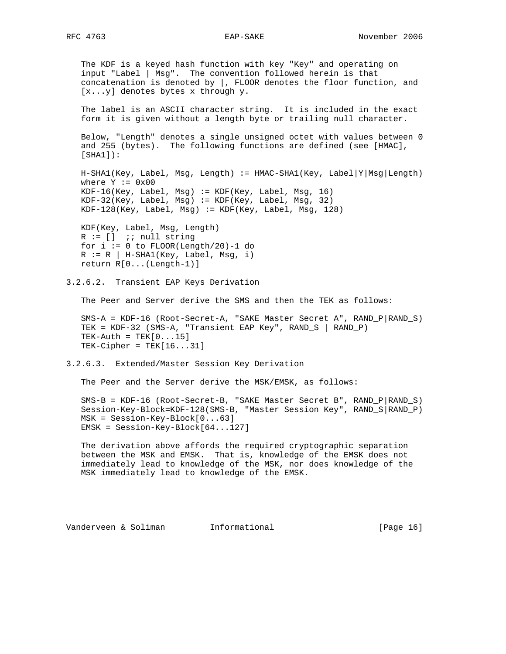The KDF is a keyed hash function with key "Key" and operating on input "Label | Msg". The convention followed herein is that concatenation is denoted by |, FLOOR denotes the floor function, and [x...y] denotes bytes x through y.

 The label is an ASCII character string. It is included in the exact form it is given without a length byte or trailing null character.

 Below, "Length" denotes a single unsigned octet with values between 0 and 255 (bytes). The following functions are defined (see [HMAC], [SHA1]):

 H-SHA1(Key, Label, Msg, Length) := HMAC-SHA1(Key, Label|Y|Msg|Length) where  $Y := 0 \times 00$  $KDF-16(Key, Label, Msg) := KDF(Key, Label, Msg, 16)$  KDF-32(Key, Label, Msg) := KDF(Key, Label, Msg, 32) KDF-128(Key, Label, Msg) := KDF(Key, Label, Msg, 128)

 KDF(Key, Label, Msg, Length)  $R := []$  ;; null string for  $i := 0$  to FLOOR(Length/20)-1 do  $R := R | H-SHA1(Key, Label, Msg, i)$ return R[0...(Length-1)]

3.2.6.2. Transient EAP Keys Derivation

The Peer and Server derive the SMS and then the TEK as follows:

 SMS-A = KDF-16 (Root-Secret-A, "SAKE Master Secret A", RAND\_P|RAND\_S) TEK = KDF-32 (SMS-A, "Transient EAP Key", RAND\_S | RAND\_P)  $TEK-Auth = TEK[0...15]$  $TEK-Cipher = TEK[16...31]$ 

3.2.6.3. Extended/Master Session Key Derivation

The Peer and the Server derive the MSK/EMSK, as follows:

 SMS-B = KDF-16 (Root-Secret-B, "SAKE Master Secret B", RAND\_P|RAND\_S) Session-Key-Block=KDF-128(SMS-B, "Master Session Key", RAND\_S|RAND\_P) MSK = Session-Key-Block[0...63] EMSK = Session-Key-Block[64...127]

 The derivation above affords the required cryptographic separation between the MSK and EMSK. That is, knowledge of the EMSK does not immediately lead to knowledge of the MSK, nor does knowledge of the MSK immediately lead to knowledge of the EMSK.

Vanderveen & Soliman Informational [Page 16]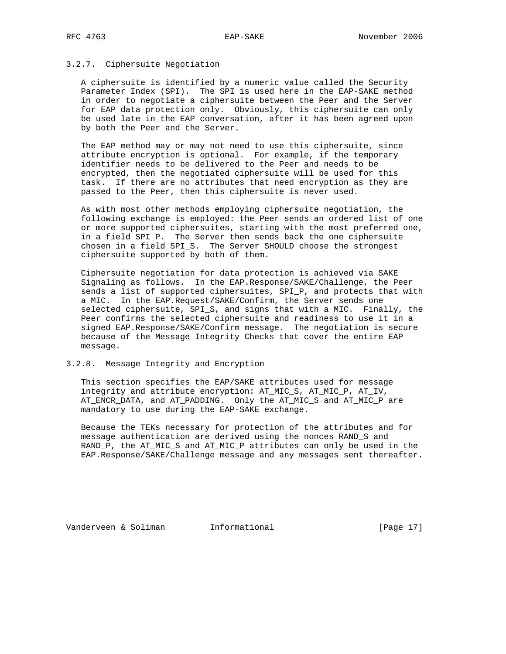# 3.2.7. Ciphersuite Negotiation

 A ciphersuite is identified by a numeric value called the Security Parameter Index (SPI). The SPI is used here in the EAP-SAKE method in order to negotiate a ciphersuite between the Peer and the Server for EAP data protection only. Obviously, this ciphersuite can only be used late in the EAP conversation, after it has been agreed upon by both the Peer and the Server.

 The EAP method may or may not need to use this ciphersuite, since attribute encryption is optional. For example, if the temporary identifier needs to be delivered to the Peer and needs to be encrypted, then the negotiated ciphersuite will be used for this task. If there are no attributes that need encryption as they are passed to the Peer, then this ciphersuite is never used.

 As with most other methods employing ciphersuite negotiation, the following exchange is employed: the Peer sends an ordered list of one or more supported ciphersuites, starting with the most preferred one, in a field SPI\_P. The Server then sends back the one ciphersuite chosen in a field SPI\_S. The Server SHOULD choose the strongest ciphersuite supported by both of them.

 Ciphersuite negotiation for data protection is achieved via SAKE Signaling as follows. In the EAP.Response/SAKE/Challenge, the Peer sends a list of supported ciphersuites, SPI\_P, and protects that with a MIC. In the EAP.Request/SAKE/Confirm, the Server sends one selected ciphersuite, SPI\_S, and signs that with a MIC. Finally, the Peer confirms the selected ciphersuite and readiness to use it in a signed EAP.Response/SAKE/Confirm message. The negotiation is secure because of the Message Integrity Checks that cover the entire EAP message.

# 3.2.8. Message Integrity and Encryption

 This section specifies the EAP/SAKE attributes used for message integrity and attribute encryption: AT\_MIC\_S, AT\_MIC\_P, AT\_IV, AT\_ENCR\_DATA, and AT\_PADDING. Only the AT\_MIC\_S and AT\_MIC\_P are mandatory to use during the EAP-SAKE exchange.

 Because the TEKs necessary for protection of the attributes and for message authentication are derived using the nonces RAND\_S and RAND\_P, the AT\_MIC\_S and AT\_MIC\_P attributes can only be used in the EAP.Response/SAKE/Challenge message and any messages sent thereafter.

Vanderveen & Soliman Informational [Page 17]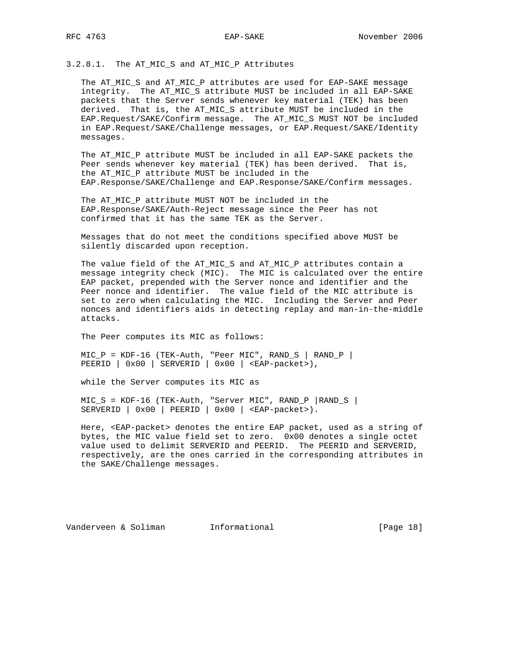# 3.2.8.1. The AT\_MIC\_S and AT\_MIC\_P Attributes

 The AT\_MIC\_S and AT\_MIC\_P attributes are used for EAP-SAKE message integrity. The AT\_MIC\_S attribute MUST be included in all EAP-SAKE packets that the Server sends whenever key material (TEK) has been derived. That is, the AT\_MIC\_S attribute MUST be included in the EAP.Request/SAKE/Confirm message. The AT\_MIC\_S MUST NOT be included in EAP.Request/SAKE/Challenge messages, or EAP.Request/SAKE/Identity messages.

 The AT\_MIC\_P attribute MUST be included in all EAP-SAKE packets the Peer sends whenever key material (TEK) has been derived. That is, the AT\_MIC\_P attribute MUST be included in the EAP.Response/SAKE/Challenge and EAP.Response/SAKE/Confirm messages.

 The AT\_MIC\_P attribute MUST NOT be included in the EAP.Response/SAKE/Auth-Reject message since the Peer has not confirmed that it has the same TEK as the Server.

 Messages that do not meet the conditions specified above MUST be silently discarded upon reception.

 The value field of the AT\_MIC\_S and AT\_MIC\_P attributes contain a message integrity check (MIC). The MIC is calculated over the entire EAP packet, prepended with the Server nonce and identifier and the Peer nonce and identifier. The value field of the MIC attribute is set to zero when calculating the MIC. Including the Server and Peer nonces and identifiers aids in detecting replay and man-in-the-middle attacks.

The Peer computes its MIC as follows:

 MIC\_P = KDF-16 (TEK-Auth, "Peer MIC", RAND\_S | RAND\_P | PEERID | 0x00 | SERVERID | 0x00 | <EAP-packet>),

while the Server computes its MIC as

 $MIC\_S$  =  $KDF-16$  (TEK-Auth, "Server MIC", RAND\_P |RAND\_S |  $S$ ERVERID | 0x00 | PEERID | 0x00 | <EAP-packet>).

 Here, <EAP-packet> denotes the entire EAP packet, used as a string of bytes, the MIC value field set to zero. 0x00 denotes a single octet value used to delimit SERVERID and PEERID. The PEERID and SERVERID, respectively, are the ones carried in the corresponding attributes in the SAKE/Challenge messages.

Vanderveen & Soliman Informational (Page 18)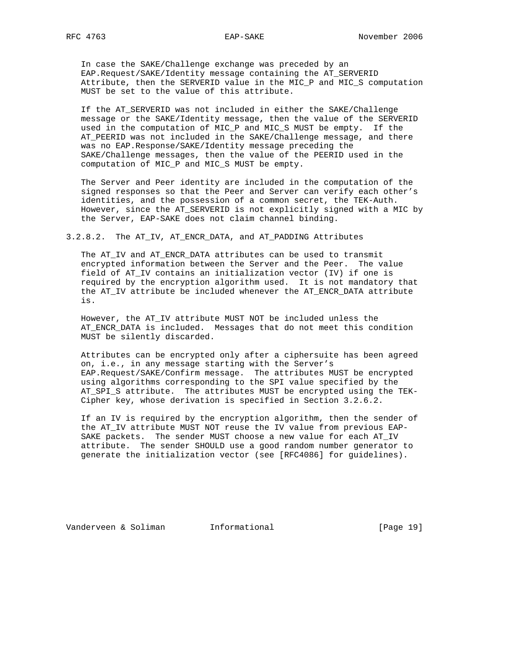RFC 4763 EAP-SAKE November 2006

 In case the SAKE/Challenge exchange was preceded by an EAP.Request/SAKE/Identity message containing the AT\_SERVERID Attribute, then the SERVERID value in the MIC\_P and MIC\_S computation MUST be set to the value of this attribute.

 If the AT\_SERVERID was not included in either the SAKE/Challenge message or the SAKE/Identity message, then the value of the SERVERID used in the computation of MIC\_P and MIC\_S MUST be empty. If the AT\_PEERID was not included in the SAKE/Challenge message, and there was no EAP.Response/SAKE/Identity message preceding the SAKE/Challenge messages, then the value of the PEERID used in the computation of MIC\_P and MIC\_S MUST be empty.

 The Server and Peer identity are included in the computation of the signed responses so that the Peer and Server can verify each other's identities, and the possession of a common secret, the TEK-Auth. However, since the AT\_SERVERID is not explicitly signed with a MIC by the Server, EAP-SAKE does not claim channel binding.

#### 3.2.8.2. The AT\_IV, AT\_ENCR\_DATA, and AT\_PADDING Attributes

 The AT\_IV and AT\_ENCR\_DATA attributes can be used to transmit encrypted information between the Server and the Peer. The value field of AT\_IV contains an initialization vector (IV) if one is required by the encryption algorithm used. It is not mandatory that the AT\_IV attribute be included whenever the AT\_ENCR\_DATA attribute is.

 However, the AT\_IV attribute MUST NOT be included unless the AT\_ENCR\_DATA is included. Messages that do not meet this condition MUST be silently discarded.

 Attributes can be encrypted only after a ciphersuite has been agreed on, i.e., in any message starting with the Server's EAP.Request/SAKE/Confirm message. The attributes MUST be encrypted using algorithms corresponding to the SPI value specified by the AT SPI S attribute. The attributes MUST be encrypted using the TEK-Cipher key, whose derivation is specified in Section 3.2.6.2.

 If an IV is required by the encryption algorithm, then the sender of the AT\_IV attribute MUST NOT reuse the IV value from previous EAP- SAKE packets. The sender MUST choose a new value for each AT\_IV attribute. The sender SHOULD use a good random number generator to generate the initialization vector (see [RFC4086] for guidelines).

Vanderveen & Soliman Informational [Page 19]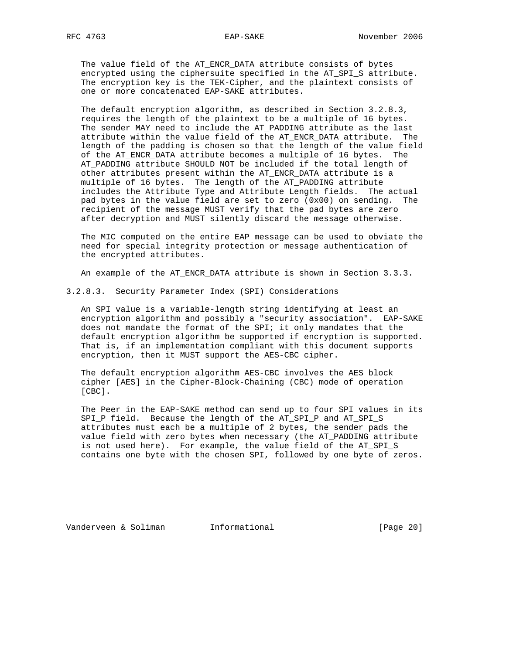The value field of the AT\_ENCR\_DATA attribute consists of bytes encrypted using the ciphersuite specified in the AT\_SPI\_S attribute. The encryption key is the TEK-Cipher, and the plaintext consists of one or more concatenated EAP-SAKE attributes.

 The default encryption algorithm, as described in Section 3.2.8.3, requires the length of the plaintext to be a multiple of 16 bytes. The sender MAY need to include the AT\_PADDING attribute as the last attribute within the value field of the AT\_ENCR\_DATA attribute. The length of the padding is chosen so that the length of the value field of the AT\_ENCR\_DATA attribute becomes a multiple of 16 bytes. The AT\_PADDING attribute SHOULD NOT be included if the total length of other attributes present within the AT\_ENCR\_DATA attribute is a multiple of 16 bytes. The length of the AT\_PADDING attribute includes the Attribute Type and Attribute Length fields. The actual pad bytes in the value field are set to zero (0x00) on sending. The recipient of the message MUST verify that the pad bytes are zero after decryption and MUST silently discard the message otherwise.

 The MIC computed on the entire EAP message can be used to obviate the need for special integrity protection or message authentication of the encrypted attributes.

An example of the AT\_ENCR\_DATA attribute is shown in Section 3.3.3.

3.2.8.3. Security Parameter Index (SPI) Considerations

 An SPI value is a variable-length string identifying at least an encryption algorithm and possibly a "security association". EAP-SAKE does not mandate the format of the SPI; it only mandates that the default encryption algorithm be supported if encryption is supported. That is, if an implementation compliant with this document supports encryption, then it MUST support the AES-CBC cipher.

 The default encryption algorithm AES-CBC involves the AES block cipher [AES] in the Cipher-Block-Chaining (CBC) mode of operation [CBC].

 The Peer in the EAP-SAKE method can send up to four SPI values in its SPI P field. Because the length of the AT SPI P and AT SPI S attributes must each be a multiple of 2 bytes, the sender pads the value field with zero bytes when necessary (the AT\_PADDING attribute is not used here). For example, the value field of the AT\_SPI\_S contains one byte with the chosen SPI, followed by one byte of zeros.

Vanderveen & Soliman Informational [Page 20]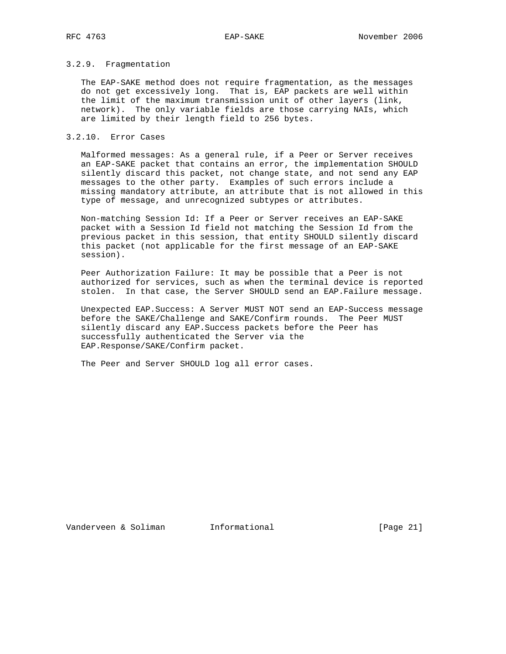# 3.2.9. Fragmentation

 The EAP-SAKE method does not require fragmentation, as the messages do not get excessively long. That is, EAP packets are well within the limit of the maximum transmission unit of other layers (link, network). The only variable fields are those carrying NAIs, which are limited by their length field to 256 bytes.

# 3.2.10. Error Cases

 Malformed messages: As a general rule, if a Peer or Server receives an EAP-SAKE packet that contains an error, the implementation SHOULD silently discard this packet, not change state, and not send any EAP messages to the other party. Examples of such errors include a missing mandatory attribute, an attribute that is not allowed in this type of message, and unrecognized subtypes or attributes.

 Non-matching Session Id: If a Peer or Server receives an EAP-SAKE packet with a Session Id field not matching the Session Id from the previous packet in this session, that entity SHOULD silently discard this packet (not applicable for the first message of an EAP-SAKE session).

 Peer Authorization Failure: It may be possible that a Peer is not authorized for services, such as when the terminal device is reported stolen. In that case, the Server SHOULD send an EAP.Failure message.

 Unexpected EAP.Success: A Server MUST NOT send an EAP-Success message before the SAKE/Challenge and SAKE/Confirm rounds. The Peer MUST silently discard any EAP.Success packets before the Peer has successfully authenticated the Server via the EAP.Response/SAKE/Confirm packet.

The Peer and Server SHOULD log all error cases.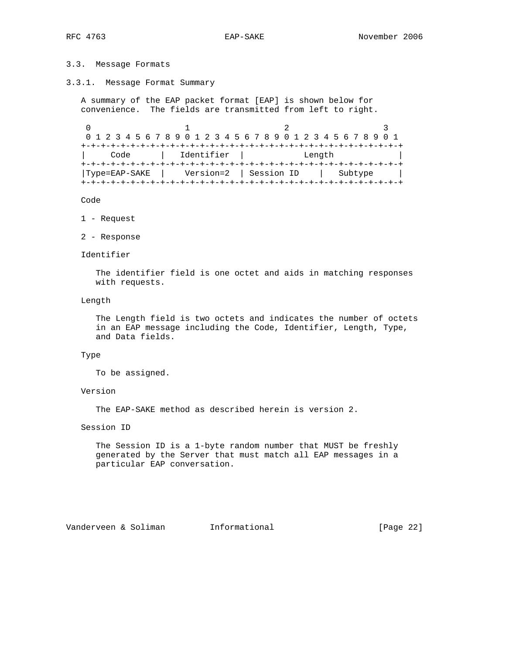# 3.3. Message Formats

3.3.1. Message Format Summary

 A summary of the EAP packet format [EAP] is shown below for convenience. The fields are transmitted from left to right.

0  $1$  2 3 0 1 2 3 4 5 6 7 8 9 0 1 2 3 4 5 6 7 8 9 0 1 2 3 4 5 6 7 8 9 0 1 +-+-+-+-+-+-+-+-+-+-+-+-+-+-+-+-+-+-+-+-+-+-+-+-+-+-+-+-+-+-+-+-+ | Code | Identifier | Length | +-+-+-+-+-+-+-+-+-+-+-+-+-+-+-+-+-+-+-+-+-+-+-+-+-+-+-+-+-+-+-+-+ |Type=EAP-SAKE | Version=2 | Session ID | Subtype | +-+-+-+-+-+-+-+-+-+-+-+-+-+-+-+-+-+-+-+-+-+-+-+-+-+-+-+-+-+-+-+-+

Code

- 1 Request
- 2 Response

Identifier

 The identifier field is one octet and aids in matching responses with requests.

Length

 The Length field is two octets and indicates the number of octets in an EAP message including the Code, Identifier, Length, Type, and Data fields.

#### Type

To be assigned.

# Version

The EAP-SAKE method as described herein is version 2.

Session ID

 The Session ID is a 1-byte random number that MUST be freshly generated by the Server that must match all EAP messages in a particular EAP conversation.

Vanderveen & Soliman Informational (Page 22)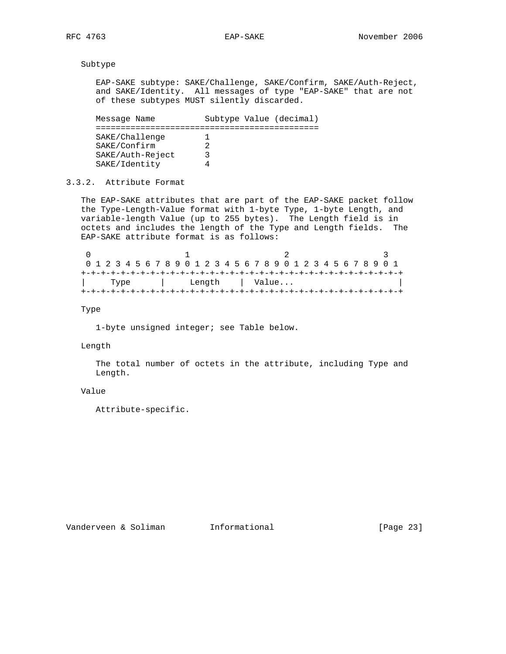Subtype

 EAP-SAKE subtype: SAKE/Challenge, SAKE/Confirm, SAKE/Auth-Reject, and SAKE/Identity. All messages of type "EAP-SAKE" that are not of these subtypes MUST silently discarded.

Message Name Subtype Value (decimal) ============================================= SAKE/Challenge 1 SAKE/Confirm 2 SAKE/Auth-Reject 3 SAKE/Identity 4

3.3.2. Attribute Format

 The EAP-SAKE attributes that are part of the EAP-SAKE packet follow the Type-Length-Value format with 1-byte Type, 1-byte Length, and variable-length Value (up to 255 bytes). The Length field is in octets and includes the length of the Type and Length fields. The EAP-SAKE attribute format is as follows:

| 0 1 2 3 4 5 6 7 8 9 0 1 2 3 4 5 6 7 8 9 0 1 2 3 4 5 6 7 8 9 0 1 |      |  |  |  |  |  |        |  |       |  |  |  |  |  |  |  |
|-----------------------------------------------------------------|------|--|--|--|--|--|--------|--|-------|--|--|--|--|--|--|--|
|                                                                 |      |  |  |  |  |  |        |  |       |  |  |  |  |  |  |  |
|                                                                 | Type |  |  |  |  |  | Length |  | Value |  |  |  |  |  |  |  |
|                                                                 |      |  |  |  |  |  |        |  |       |  |  |  |  |  |  |  |

Type

1-byte unsigned integer; see Table below.

### Length

 The total number of octets in the attribute, including Type and Length.

# Value

Attribute-specific.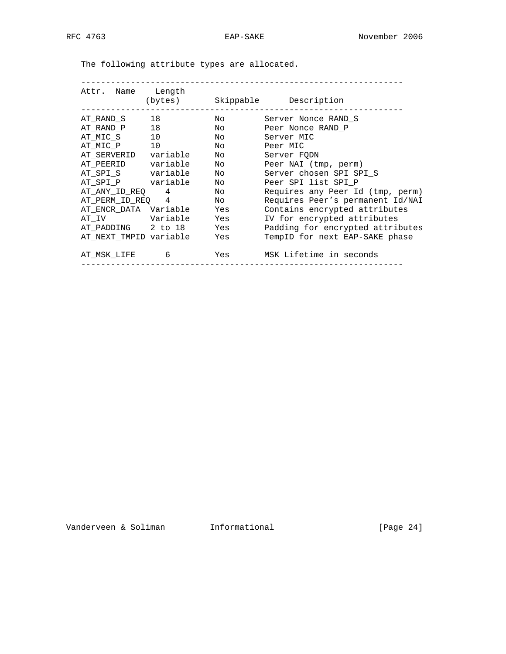| Attr. Name Length                   |                                                                                                                                                                                                                                 | (bytes) Skippable Description               |
|-------------------------------------|---------------------------------------------------------------------------------------------------------------------------------------------------------------------------------------------------------------------------------|---------------------------------------------|
| AT RAND S 18                        | Noted the North State of the North State of the North State of the North State of the North State of the North State of the North State of the North State of the North State of the North State of the North State of the Nort | Server Nonce RAND S                         |
| AT_RAND_P 18                        | Noted that the state of the state of the state of the state of the state of the state of the state of the state of the state of the state of the state of the state of the state of the state of the state of the state of the  | Peer Nonce RAND P                           |
| AT_MIC_S 10                         |                                                                                                                                                                                                                                 | No Server MIC                               |
| AT_MIC_P 10                         | No Peer MIC                                                                                                                                                                                                                     |                                             |
| AT_SERVERID variable No             |                                                                                                                                                                                                                                 | Server FODN                                 |
| AT_PEERID        variable        No |                                                                                                                                                                                                                                 | Peer NAI (tmp, perm)                        |
| AT_SPI_S variable No                |                                                                                                                                                                                                                                 | Server chosen SPI SPI_S                     |
| AT_SPI_P variable No                |                                                                                                                                                                                                                                 | Peer SPI list SPI P                         |
| AT_ANY_ID_REQ 4 No                  |                                                                                                                                                                                                                                 | Requires any Peer Id (tmp, perm)            |
| AT_PERM_ID_REQ 4 No                 |                                                                                                                                                                                                                                 | Requires Peer's permanent Id/NAI            |
| AT ENCR DATA Variable Yes           |                                                                                                                                                                                                                                 | Contains encrypted attributes               |
| AT_IV Variable Yes                  |                                                                                                                                                                                                                                 | IV for encrypted attributes                 |
| AT PADDING 2 to 18 Yes              |                                                                                                                                                                                                                                 | Padding for encrypted attributes            |
| AT NEXT TMPID variable Yes          |                                                                                                                                                                                                                                 | TempID for next EAP-SAKE phase              |
|                                     |                                                                                                                                                                                                                                 | AT_MSK_LIFE 6 6 Yes MSK Lifetime in seconds |

The following attribute types are allocated.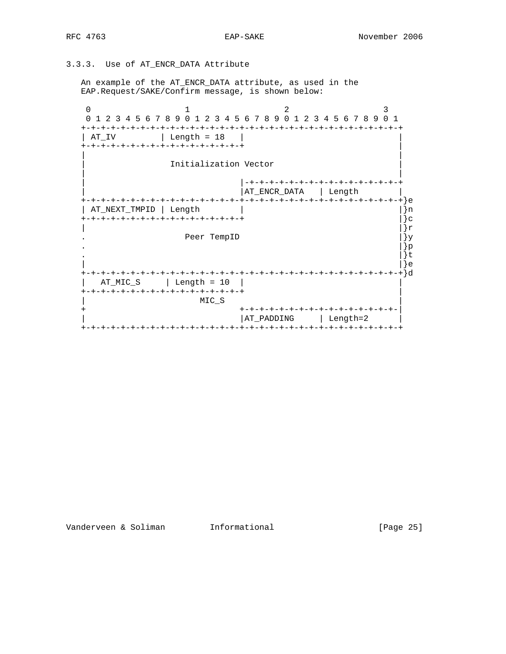# 3.3.3. Use of AT\_ENCR\_DATA Attribute

 An example of the AT\_ENCR\_DATA attribute, as used in the EAP.Request/SAKE/Confirm message, is shown below:

0  $1$  2 3 0 1 2 3 4 5 6 7 8 9 0 1 2 3 4 5 6 7 8 9 0 1 2 3 4 5 6 7 8 9 0 1 +-+-+-+-+-+-+-+-+-+-+-+-+-+-+-+-+-+-+-+-+-+-+-+-+-+-+-+-+-+-+-+-+ | AT\_IV | Length = 18 | +-+-+-+-+-+-+-+-+-+-+-+-+-+-+-+-+ | | | Initialization Vector | | | |-+-+-+-+-+-+-+-+-+-+-+-+-+-+-+-+ | |AT\_ENCR\_DATA | Length | +-+-+-+-+-+-+-+-+-+-+-+-+-+-+-+-+-+-+-+-+-+-+-+-+-+-+-+-+-+-+-+-+}e | AT\_NEXT\_TMPID | Length | |}n +-+-+-+-+-+-+-+-+-+-+-+-+-+-+-+-+ |}c  $\vert$  |  $\vert$  |  $\vert$  |  $\vert$  |  $\vert$  |  $\vert$  |  $\vert$  |  $\vert$  |  $\vert$  |  $\vert$  |  $\vert$  |  $\vert$  |  $\vert$  |  $\vert$  |  $\vert$  |  $\vert$  |  $\vert$  |  $\vert$  |  $\vert$  |  $\vert$  |  $\vert$  |  $\vert$  |  $\vert$  |  $\vert$  |  $\vert$  |  $\vert$  |  $\vert$  |  $\vert$  |  $\vert$  |  $\vert$  |  $\vert$  |  $\vert$ Peer TempID  $|$   $\rangle$ y . The contract of the contract of the contract of the contract of  $\{3p\}$ .  $\left| \right. \right|$  | |}e +-+-+-+-+-+-+-+-+-+-+-+-+-+-+-+-+-+-+-+-+-+-+-+-+-+-+-+-+-+-+-+-+}d | AT\_MIC\_S | Length = 10 | | +-+-+-+-+-+-+-+-+-+-+-+-+-+-+-+-+-+-+<br>MIC S  $MIC\_S$  + +-+-+-+-+-+-+-+-+-+-+-+-+-+-+-+-| | AT\_PADDING | Length=2 | +-+-+-+-+-+-+-+-+-+-+-+-+-+-+-+-+-+-+-+-+-+-+-+-+-+-+-+-+-+-+-+-+

Vanderveen & Soliman Informational (Page 25)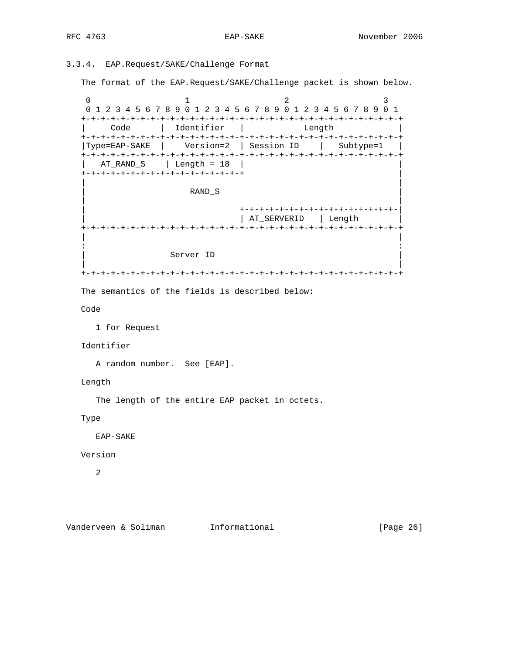# 3.3.4. EAP.Request/SAKE/Challenge Format

The format of the EAP.Request/SAKE/Challenge packet is shown below.

0  $1$  2 3 0 1 2 3 4 5 6 7 8 9 0 1 2 3 4 5 6 7 8 9 0 1 2 3 4 5 6 7 8 9 0 1 +-+-+-+-+-+-+-+-+-+-+-+-+-+-+-+-+-+-+-+-+-+-+-+-+-+-+-+-+-+-+-+-+ | Code | Identifier | Length | +-+-+-+-+-+-+-+-+-+-+-+-+-+-+-+-+-+-+-+-+-+-+-+-+-+-+-+-+-+-+-+-+ |Type=EAP-SAKE | Version=2 | Session ID | Subtype=1 | +-+-+-+-+-+-+-+-+-+-+-+-+-+-+-+-+-+-+-+-+-+-+-+-+-+-+-+-+-+-+-+-+  $AT_RAND_S$  | Length = 18 | +-+-+-+-+-+-+-+-+-+-+-+-+-+-+-+-+ | | | | RAND\_S | | | | +-+-+-+-+-+-+-+-+-+-+-+-+-+-+-+-| | AT\_SERVERID | Length +-+-+-+-+-+-+-+-+-+-+-+-+-+-+-+-+-+-+-+-+-+-+-+-+-+-+-+-+-+-+-+-+ | | in the second control of the second control of the second control of the second control of the second control o Server ID | | +-+-+-+-+-+-+-+-+-+-+-+-+-+-+-+-+-+-+-+-+-+-+-+-+-+-+-+-+-+-+-+-+ The semantics of the fields is described below: Code 1 for Request Identifier A random number. See [EAP]. Length The length of the entire EAP packet in octets. Type EAP-SAKE Version 2

Vanderveen & Soliman Informational (Page 26)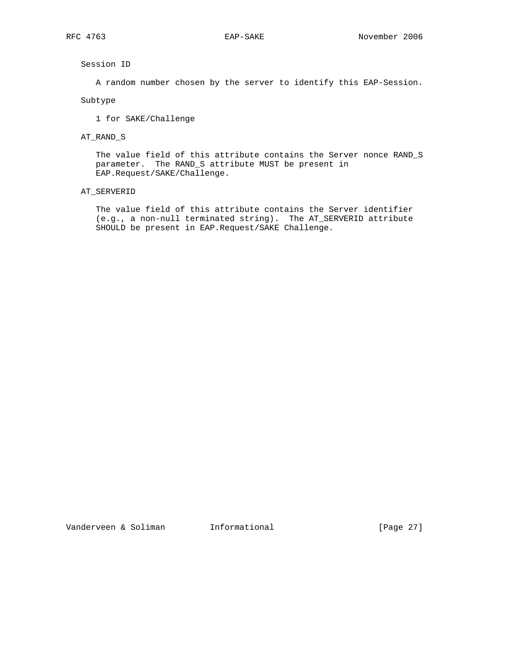Session ID

A random number chosen by the server to identify this EAP-Session.

Subtype

1 for SAKE/Challenge

# AT\_RAND\_S

 The value field of this attribute contains the Server nonce RAND\_S parameter. The RAND\_S attribute MUST be present in EAP.Request/SAKE/Challenge.

#### AT\_SERVERID

 The value field of this attribute contains the Server identifier (e.g., a non-null terminated string). The AT\_SERVERID attribute SHOULD be present in EAP.Request/SAKE Challenge.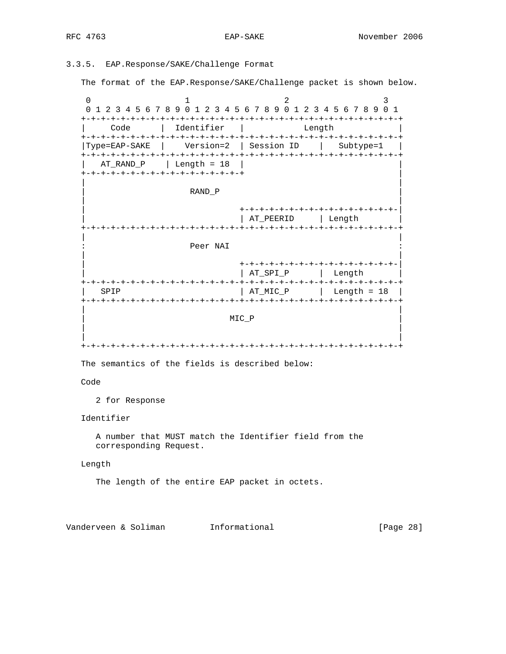# 3.3.5. EAP.Response/SAKE/Challenge Format

The format of the EAP.Response/SAKE/Challenge packet is shown below.

0  $1$  2 3 0 1 2 3 4 5 6 7 8 9 0 1 2 3 4 5 6 7 8 9 0 1 2 3 4 5 6 7 8 9 0 1 +-+-+-+-+-+-+-+-+-+-+-+-+-+-+-+-+-+-+-+-+-+-+-+-+-+-+-+-+-+-+-+-+ | Code | Identifier | Length | +-+-+-+-+-+-+-+-+-+-+-+-+-+-+-+-+-+-+-+-+-+-+-+-+-+-+-+-+-+-+-+-+ |Type=EAP-SAKE | Version=2 | Session ID | Subtype=1 | +-+-+-+-+-+-+-+-+-+-+-+-+-+-+-+-+-+-+-+-+-+-+-+-+-+-+-+-+-+-+-+-+  $AT_RAND_P$  | Length = 18 | +-+-+-+-+-+-+-+-+-+-+-+-+-+-+-+-+ | | | | RAND\_P | | | | +-+-+-+-+-+-+-+-+-+-+-+-+-+-+-+-| | | AT\_PEERID | Length | +-+-+-+-+-+-+-+-+-+-+-+-+-+-+-+-+-+-+-+-+-+-+-+-+-+-+-+-+-+-+-+-+ | | Peer NAI | | | +-+-+-+-+-+-+-+-+-+-+-+-+-+-+-+-| | | AT\_SPI\_P | Length | +-+-+-+-+-+-+-+-+-+-+-+-+-+-+-+-+-+-+-+-+-+-+-+-+-+-+-+-+-+-+-+-+  $SPIP$  |  $AT_MIC_P$  |  $Length = 18$  | +-+-+-+-+-+-+-+-+-+-+-+-+-+-+-+-+-+-+-+-+-+-+-+-+-+-+-+-+-+-+-+-+ | |  $MIC_P$  | | | | +-+-+-+-+-+-+-+-+-+-+-+-+-+-+-+-+-+-+-+-+-+-+-+-+-+-+-+-+-+-+-+-+

The semantics of the fields is described below:

# Code

2 for Response

# Identifier

 A number that MUST match the Identifier field from the corresponding Request.

#### Length

The length of the entire EAP packet in octets.

Vanderveen & Soliman Informational [Page 28]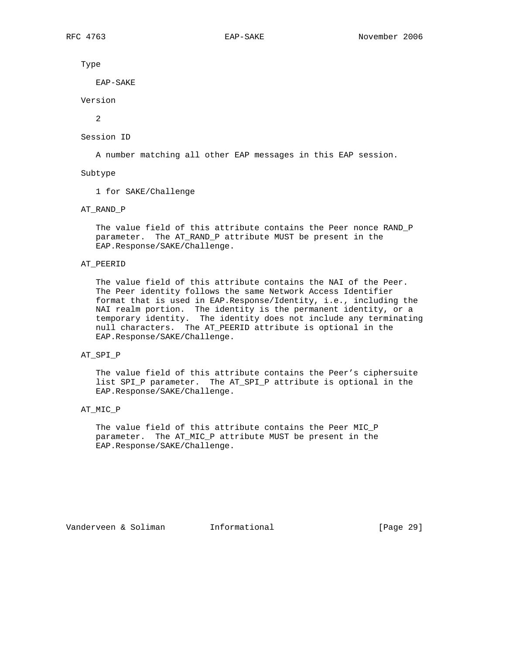Type

EAP-SAKE

Version

 $\overline{2}$ 

#### Session ID

A number matching all other EAP messages in this EAP session.

#### Subtype

1 for SAKE/Challenge

# AT\_RAND\_P

 The value field of this attribute contains the Peer nonce RAND\_P parameter. The AT\_RAND\_P attribute MUST be present in the EAP.Response/SAKE/Challenge.

# AT\_PEERID

 The value field of this attribute contains the NAI of the Peer. The Peer identity follows the same Network Access Identifier format that is used in EAP.Response/Identity, i.e., including the NAI realm portion. The identity is the permanent identity, or a temporary identity. The identity does not include any terminating null characters. The AT\_PEERID attribute is optional in the EAP.Response/SAKE/Challenge.

# AT\_SPI\_P

 The value field of this attribute contains the Peer's ciphersuite list SPI\_P parameter. The AT\_SPI\_P attribute is optional in the EAP.Response/SAKE/Challenge.

# AT\_MIC\_P

 The value field of this attribute contains the Peer MIC\_P parameter. The AT\_MIC\_P attribute MUST be present in the EAP.Response/SAKE/Challenge.

Vanderveen & Soliman Informational [Page 29]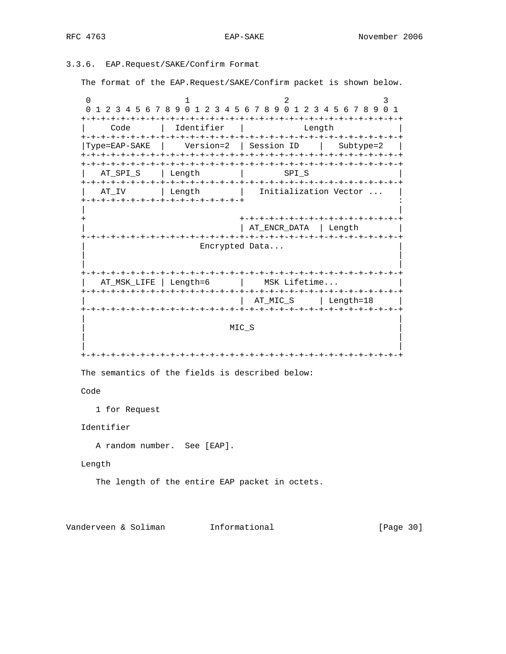# 3.3.6. EAP.Request/SAKE/Confirm Format

The format of the EAP.Request/SAKE/Confirm packet is shown below.

0  $1$  2 3 0 1 2 3 4 5 6 7 8 9 0 1 2 3 4 5 6 7 8 9 0 1 2 3 4 5 6 7 8 9 0 1 +-+-+-+-+-+-+-+-+-+-+-+-+-+-+-+-+-+-+-+-+-+-+-+-+-+-+-+-+-+-+-+-+ | Code | Identifier | Length | +-+-+-+-+-+-+-+-+-+-+-+-+-+-+-+-+-+-+-+-+-+-+-+-+-+-+-+-+-+-+-+-+ |Type=EAP-SAKE | Version=2 | Session ID | Subtype=2 | +-+-+-+-+-+-+-+-+-+-+-+-+-+-+-+-+-+-+-+-+-+-+-+-+-+-+-+-+-+-+-+-+ +-+-+-+-+-+-+-+-+-+-+-+-+-+-+-+-+-+-+-+-+-+-+-+-+-+-+-+-+-+-+-+-+ AT\_SPI\_S | Length | SPI\_S +-+-+-+-+-+-+-+-+-+-+-+-+-+-+-+-+-+-+-+-+-+-+-+-+-+-+-+-+-+-+-+-+ AT\_IV | Length | Initialization Vector ... +-+-+-+-+-+-+-+-+-+-+-+-+-+-+-+-+ : | | + +-+-+-+-+-+-+-+-+-+-+-+-+-+-+-+-+ | | AT\_ENCR\_DATA | Length | +-+-+-+-+-+-+-+-+-+-+-+-+-+-+-+-+-+-+-+-+-+-+-+-+-+-+-+-+-+-+-+-+ Encrypted Data... | | | | +-+-+-+-+-+-+-+-+-+-+-+-+-+-+-+-+-+-+-+-+-+-+-+-+-+-+-+-+-+-+-+-+ | AT\_MSK\_LIFE | Length=6 | MSK Lifetime... +-+-+-+-+-+-+-+-+-+-+-+-+-+-+-+-+-+-+-+-+-+-+-+-+-+-+-+-+-+-+-+-+ | AT\_MIC\_S | Length=18 | +-+-+-+-+-+-+-+-+-+-+-+-+-+-+-+-+-+-+-+-+-+-+-+-+-+-+-+-+-+-+-+-+ | |  $MIC\_S$  | | | | +-+-+-+-+-+-+-+-+-+-+-+-+-+-+-+-+-+-+-+-+-+-+-+-+-+-+-+-+-+-+-+-+ The semantics of the fields is described below:

Code

1 for Request

Identifier

A random number. See [EAP].

Length

The length of the entire EAP packet in octets.

Vanderveen & Soliman Informational (Page 30)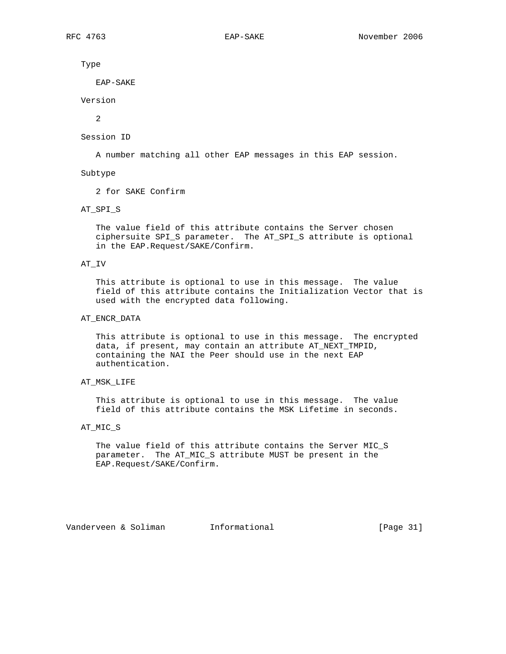Type

EAP-SAKE

Version

 $\overline{2}$ 

#### Session ID

A number matching all other EAP messages in this EAP session.

#### Subtype

2 for SAKE Confirm

### AT\_SPI\_S

 The value field of this attribute contains the Server chosen ciphersuite SPI\_S parameter. The AT\_SPI\_S attribute is optional in the EAP.Request/SAKE/Confirm.

# AT\_IV

 This attribute is optional to use in this message. The value field of this attribute contains the Initialization Vector that is used with the encrypted data following.

# AT\_ENCR\_DATA

 This attribute is optional to use in this message. The encrypted data, if present, may contain an attribute AT\_NEXT\_TMPID, containing the NAI the Peer should use in the next EAP authentication.

# AT\_MSK\_LIFE

 This attribute is optional to use in this message. The value field of this attribute contains the MSK Lifetime in seconds.

# AT\_MIC\_S

 The value field of this attribute contains the Server MIC\_S parameter. The AT\_MIC\_S attribute MUST be present in the EAP.Request/SAKE/Confirm.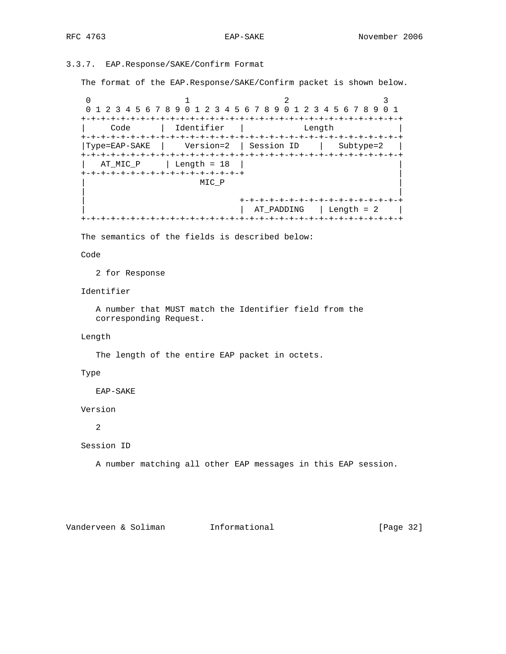# 3.3.7. EAP.Response/SAKE/Confirm Format

The format of the EAP.Response/SAKE/Confirm packet is shown below.

0  $1$  2 3 0 1 2 3 4 5 6 7 8 9 0 1 2 3 4 5 6 7 8 9 0 1 2 3 4 5 6 7 8 9 0 1 +-+-+-+-+-+-+-+-+-+-+-+-+-+-+-+-+-+-+-+-+-+-+-+-+-+-+-+-+-+-+-+-+ | Code | Identifier | Length | +-+-+-+-+-+-+-+-+-+-+-+-+-+-+-+-+-+-+-+-+-+-+-+-+-+-+-+-+-+-+-+-+ |Type=EAP-SAKE | Version=2 | Session ID | Subtype=2 | +-+-+-+-+-+-+-+-+-+-+-+-+-+-+-+-+-+-+-+-+-+-+-+-+-+-+-+-+-+-+-+-+  $AT_MIC_P$  | Length = 18 | +-+-+-+-+-+-+-+-+-+-+-+-+-+-+-+-+-+<br>MIC\_P  $MIC_P$  | | | +-+-+-+-+-+-+-+-+-+-+-+-+-+-+-+-+ | | AT\_PADDING | Length = 2 | +-+-+-+-+-+-+-+-+-+-+-+-+-+-+-+-+-+-+-+-+-+-+-+-+-+-+-+-+-+-+-+-+

The semantics of the fields is described below:

Code

2 for Response

Identifier

 A number that MUST match the Identifier field from the corresponding Request.

# Length

The length of the entire EAP packet in octets.

# Type

EAP-SAKE

Version

2

Session ID

A number matching all other EAP messages in this EAP session.

Vanderveen & Soliman Informational (Page 32)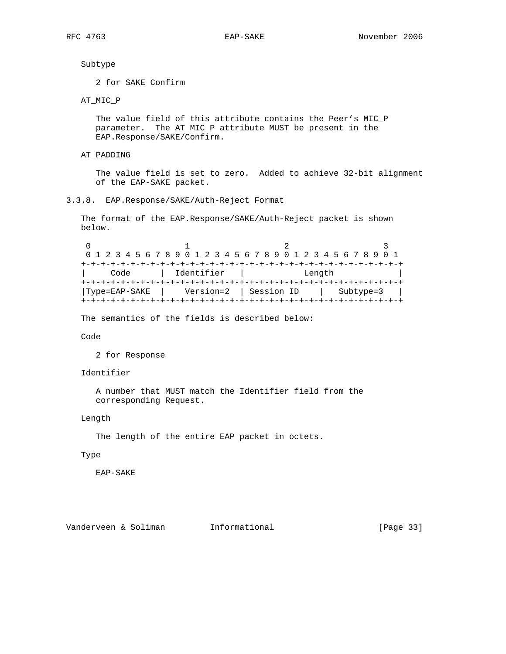# Subtype

2 for SAKE Confirm

# AT\_MIC\_P

 The value field of this attribute contains the Peer's MIC\_P parameter. The AT\_MIC\_P attribute MUST be present in the EAP.Response/SAKE/Confirm.

AT\_PADDING

 The value field is set to zero. Added to achieve 32-bit alignment of the EAP-SAKE packet.

# 3.3.8. EAP.Response/SAKE/Auth-Reject Format

 The format of the EAP.Response/SAKE/Auth-Reject packet is shown below.

0  $1$  2 3 0 1 2 3 4 5 6 7 8 9 0 1 2 3 4 5 6 7 8 9 0 1 2 3 4 5 6 7 8 9 0 1 +-+-+-+-+-+-+-+-+-+-+-+-+-+-+-+-+-+-+-+-+-+-+-+-+-+-+-+-+-+-+-+-+ | Code | Identifier | Length | +-+-+-+-+-+-+-+-+-+-+-+-+-+-+-+-+-+-+-+-+-+-+-+-+-+-+-+-+-+-+-+-+ |Type=EAP-SAKE | Version=2 | Session ID | Subtype=3 | +-+-+-+-+-+-+-+-+-+-+-+-+-+-+-+-+-+-+-+-+-+-+-+-+-+-+-+-+-+-+-+-+

The semantics of the fields is described below:

# Code

2 for Response

# Identifier

 A number that MUST match the Identifier field from the corresponding Request.

# Length

The length of the entire EAP packet in octets.

#### Type

EAP-SAKE

Vanderveen & Soliman Informational (Page 33)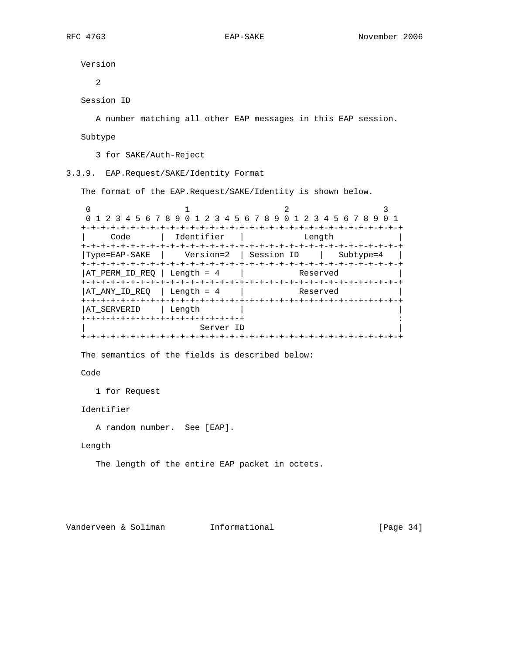Version

2

Session ID

A number matching all other EAP messages in this EAP session.

Subtype

3 for SAKE/Auth-Reject

3.3.9. EAP.Request/SAKE/Identity Format

The format of the EAP.Request/SAKE/Identity is shown below.

| Identifier                    | Length   |                                                                                                                               |  |  |  |  |  |  |  |  |
|-------------------------------|----------|-------------------------------------------------------------------------------------------------------------------------------|--|--|--|--|--|--|--|--|
| Version=2                     |          | Subtype=4                                                                                                                     |  |  |  |  |  |  |  |  |
| Length = $4$                  | Reserved |                                                                                                                               |  |  |  |  |  |  |  |  |
| Length = $4$<br>-+-+-+-+-+-+- | Reserved |                                                                                                                               |  |  |  |  |  |  |  |  |
| Length                        |          |                                                                                                                               |  |  |  |  |  |  |  |  |
|                               |          |                                                                                                                               |  |  |  |  |  |  |  |  |
|                               |          | 0 1 2 3 4 5 6 7 8 9 0 1 2 3 4 5 6 7 8 9 0 1 2 3 4 5 6 7 8 9<br>  Session ID<br>-+-+-+-+-+-+-+-+-+-+-+-+-+-+-+-+-<br>Server ID |  |  |  |  |  |  |  |  |

The semantics of the fields is described below:

Code

1 for Request

Identifier

A random number. See [EAP].

Length

The length of the entire EAP packet in octets.

Vanderveen & Soliman Informational [Page 34]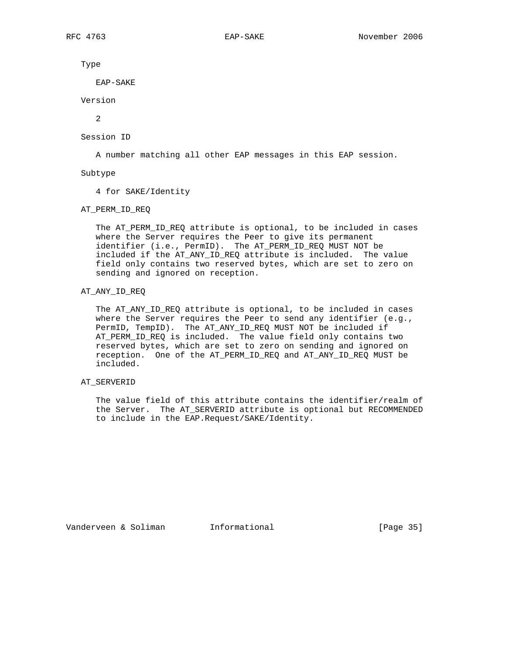Type

EAP-SAKE

Version

2

Session ID

A number matching all other EAP messages in this EAP session.

Subtype

4 for SAKE/Identity

AT\_PERM\_ID\_REQ

 The AT\_PERM\_ID\_REQ attribute is optional, to be included in cases where the Server requires the Peer to give its permanent identifier (i.e., PermID). The AT\_PERM\_ID\_REQ MUST NOT be included if the AT\_ANY\_ID\_REQ attribute is included. The value field only contains two reserved bytes, which are set to zero on sending and ignored on reception.

# AT\_ANY\_ID\_REQ

 The AT\_ANY\_ID\_REQ attribute is optional, to be included in cases where the Server requires the Peer to send any identifier (e.g., PermID, TempID). The AT\_ANY\_ID\_REQ MUST NOT be included if AT\_PERM\_ID\_REQ is included. The value field only contains two reserved bytes, which are set to zero on sending and ignored on reception. One of the AT\_PERM\_ID\_REQ and AT\_ANY\_ID\_REQ MUST be included.

# AT\_SERVERID

 The value field of this attribute contains the identifier/realm of the Server. The AT\_SERVERID attribute is optional but RECOMMENDED to include in the EAP.Request/SAKE/Identity.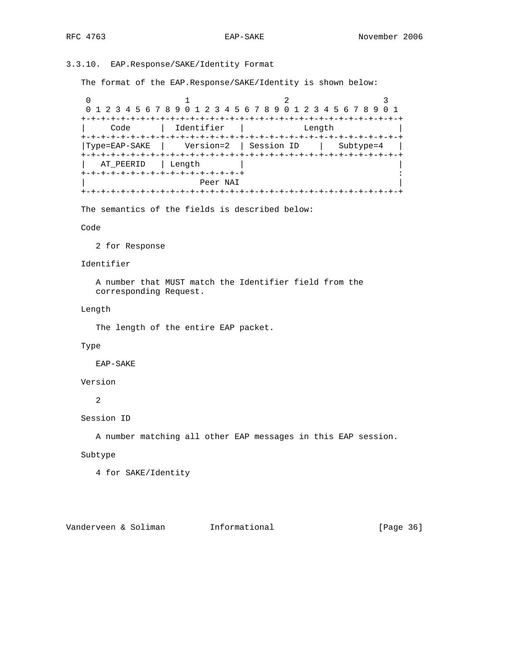# 3.3.10. EAP.Response/SAKE/Identity Format

The format of the EAP.Response/SAKE/Identity is shown below:

0  $1$  2 3 0 1 2 3 4 5 6 7 8 9 0 1 2 3 4 5 6 7 8 9 0 1 2 3 4 5 6 7 8 9 0 1 +-+-+-+-+-+-+-+-+-+-+-+-+-+-+-+-+-+-+-+-+-+-+-+-+-+-+-+-+-+-+-+-+ | Code | Identifier | Length | +-+-+-+-+-+-+-+-+-+-+-+-+-+-+-+-+-+-+-+-+-+-+-+-+-+-+-+-+-+-+-+-+ |Type=EAP-SAKE | Version=2 | Session ID | Subtype=4 | +-+-+-+-+-+-+-+-+-+-+-+-+-+-+-+-+-+-+-+-+-+-+-+-+-+-+-+-+-+-+-+-+ AT\_PEERID | Length | +-+-+-+-+-+-+-+-+-+-+-+-+-+-+-+-+ : | Peer NAI | +-+-+-+-+-+-+-+-+-+-+-+-+-+-+-+-+-+-+-+-+-+-+-+-+-+-+-+-+-+-+-+-+

The semantics of the fields is described below:

Code

2 for Response

# Identifier

 A number that MUST match the Identifier field from the corresponding Request.

Length

The length of the entire EAP packet.

# Type

EAP-SAKE

Version

2

Session ID

A number matching all other EAP messages in this EAP session.

Subtype

4 for SAKE/Identity

Vanderveen & Soliman Informational (Page 36)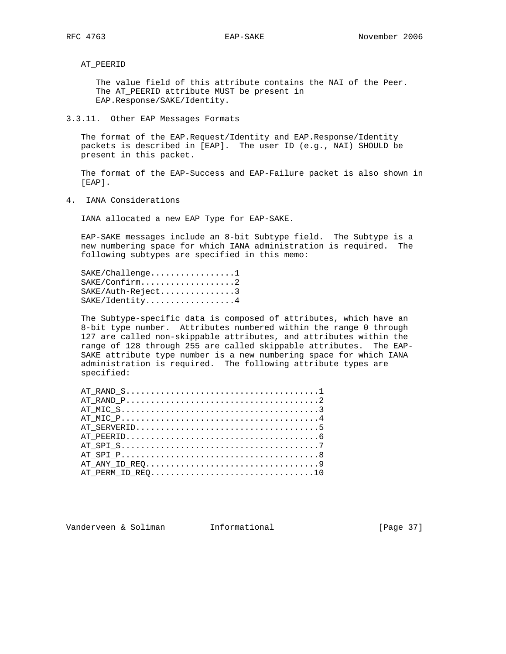AT\_PEERID

 The value field of this attribute contains the NAI of the Peer. The AT\_PEERID attribute MUST be present in EAP.Response/SAKE/Identity.

3.3.11. Other EAP Messages Formats

 The format of the EAP.Request/Identity and EAP.Response/Identity packets is described in [EAP]. The user ID (e.g., NAI) SHOULD be present in this packet.

 The format of the EAP-Success and EAP-Failure packet is also shown in [EAP].

4. IANA Considerations

IANA allocated a new EAP Type for EAP-SAKE.

 EAP-SAKE messages include an 8-bit Subtype field. The Subtype is a new numbering space for which IANA administration is required. The following subtypes are specified in this memo:

SAKE/Challenge................1 SAKE/Confirm...................2 SAKE/Auth-Reject...............3 SAKE/Identity..................4

 The Subtype-specific data is composed of attributes, which have an 8-bit type number. Attributes numbered within the range 0 through 127 are called non-skippable attributes, and attributes within the range of 128 through 255 are called skippable attributes. The EAP- SAKE attribute type number is a new numbering space for which IANA administration is required. The following attribute types are specified:

| AT PERM ID REO10 |
|------------------|
|                  |

Vanderveen & Soliman Informational [Page 37]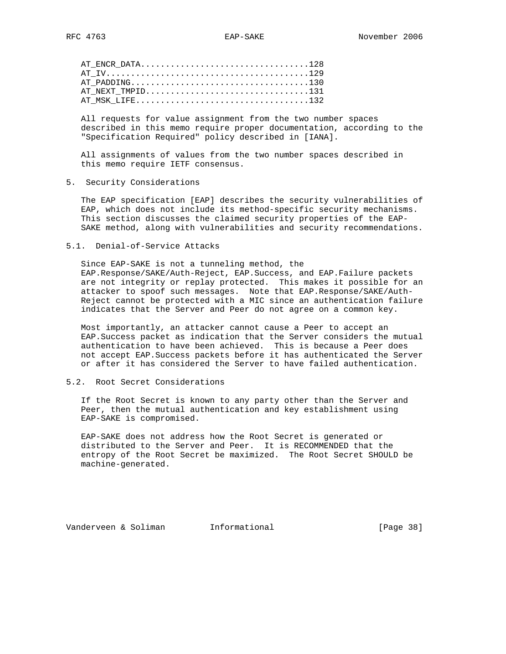| AT ENCR DATA128  |  |
|------------------|--|
|                  |  |
|                  |  |
| AT NEXT TMPID131 |  |
| AT MSK LIFE132   |  |

 All requests for value assignment from the two number spaces described in this memo require proper documentation, according to the "Specification Required" policy described in [IANA].

 All assignments of values from the two number spaces described in this memo require IETF consensus.

5. Security Considerations

 The EAP specification [EAP] describes the security vulnerabilities of EAP, which does not include its method-specific security mechanisms. This section discusses the claimed security properties of the EAP- SAKE method, along with vulnerabilities and security recommendations.

5.1. Denial-of-Service Attacks

 Since EAP-SAKE is not a tunneling method, the EAP.Response/SAKE/Auth-Reject, EAP.Success, and EAP.Failure packets are not integrity or replay protected. This makes it possible for an attacker to spoof such messages. Note that EAP.Response/SAKE/Auth- Reject cannot be protected with a MIC since an authentication failure indicates that the Server and Peer do not agree on a common key.

 Most importantly, an attacker cannot cause a Peer to accept an EAP.Success packet as indication that the Server considers the mutual authentication to have been achieved. This is because a Peer does not accept EAP.Success packets before it has authenticated the Server or after it has considered the Server to have failed authentication.

5.2. Root Secret Considerations

 If the Root Secret is known to any party other than the Server and Peer, then the mutual authentication and key establishment using EAP-SAKE is compromised.

 EAP-SAKE does not address how the Root Secret is generated or distributed to the Server and Peer. It is RECOMMENDED that the entropy of the Root Secret be maximized. The Root Secret SHOULD be machine-generated.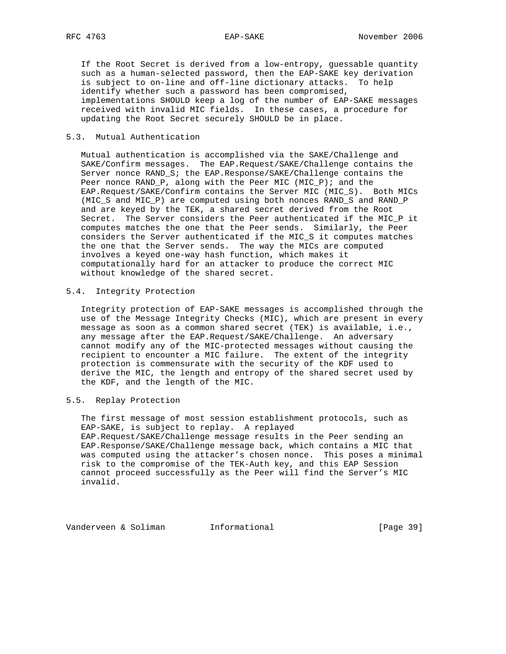If the Root Secret is derived from a low-entropy, guessable quantity such as a human-selected password, then the EAP-SAKE key derivation is subject to on-line and off-line dictionary attacks. To help identify whether such a password has been compromised, implementations SHOULD keep a log of the number of EAP-SAKE messages received with invalid MIC fields. In these cases, a procedure for updating the Root Secret securely SHOULD be in place.

# 5.3. Mutual Authentication

 Mutual authentication is accomplished via the SAKE/Challenge and SAKE/Confirm messages. The EAP.Request/SAKE/Challenge contains the Server nonce RAND\_S; the EAP.Response/SAKE/Challenge contains the Peer nonce RAND\_P, along with the Peer MIC (MIC\_P); and the EAP.Request/SAKE/Confirm contains the Server MIC (MIC\_S). Both MICs (MIC\_S and MIC\_P) are computed using both nonces RAND\_S and RAND\_P and are keyed by the TEK, a shared secret derived from the Root Secret. The Server considers the Peer authenticated if the MIC\_P it computes matches the one that the Peer sends. Similarly, the Peer considers the Server authenticated if the MIC\_S it computes matches the one that the Server sends. The way the MICs are computed involves a keyed one-way hash function, which makes it computationally hard for an attacker to produce the correct MIC without knowledge of the shared secret.

# 5.4. Integrity Protection

 Integrity protection of EAP-SAKE messages is accomplished through the use of the Message Integrity Checks (MIC), which are present in every message as soon as a common shared secret (TEK) is available, i.e., any message after the EAP.Request/SAKE/Challenge. An adversary cannot modify any of the MIC-protected messages without causing the recipient to encounter a MIC failure. The extent of the integrity protection is commensurate with the security of the KDF used to derive the MIC, the length and entropy of the shared secret used by the KDF, and the length of the MIC.

# 5.5. Replay Protection

 The first message of most session establishment protocols, such as EAP-SAKE, is subject to replay. A replayed EAP.Request/SAKE/Challenge message results in the Peer sending an EAP.Response/SAKE/Challenge message back, which contains a MIC that was computed using the attacker's chosen nonce. This poses a minimal risk to the compromise of the TEK-Auth key, and this EAP Session cannot proceed successfully as the Peer will find the Server's MIC invalid.

Vanderveen & Soliman Informational (Page 39)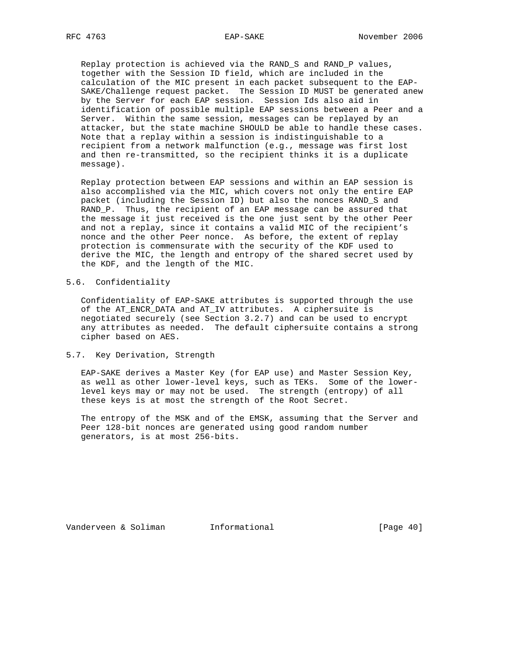Replay protection is achieved via the RAND\_S and RAND\_P values, together with the Session ID field, which are included in the calculation of the MIC present in each packet subsequent to the EAP- SAKE/Challenge request packet. The Session ID MUST be generated anew by the Server for each EAP session. Session Ids also aid in identification of possible multiple EAP sessions between a Peer and a Server. Within the same session, messages can be replayed by an attacker, but the state machine SHOULD be able to handle these cases. Note that a replay within a session is indistinguishable to a recipient from a network malfunction (e.g., message was first lost and then re-transmitted, so the recipient thinks it is a duplicate message).

 Replay protection between EAP sessions and within an EAP session is also accomplished via the MIC, which covers not only the entire EAP packet (including the Session ID) but also the nonces RAND\_S and RAND\_P. Thus, the recipient of an EAP message can be assured that the message it just received is the one just sent by the other Peer and not a replay, since it contains a valid MIC of the recipient's nonce and the other Peer nonce. As before, the extent of replay protection is commensurate with the security of the KDF used to derive the MIC, the length and entropy of the shared secret used by the KDF, and the length of the MIC.

# 5.6. Confidentiality

 Confidentiality of EAP-SAKE attributes is supported through the use of the AT\_ENCR\_DATA and AT\_IV attributes. A ciphersuite is negotiated securely (see Section 3.2.7) and can be used to encrypt any attributes as needed. The default ciphersuite contains a strong cipher based on AES.

#### 5.7. Key Derivation, Strength

 EAP-SAKE derives a Master Key (for EAP use) and Master Session Key, as well as other lower-level keys, such as TEKs. Some of the lower level keys may or may not be used. The strength (entropy) of all these keys is at most the strength of the Root Secret.

 The entropy of the MSK and of the EMSK, assuming that the Server and Peer 128-bit nonces are generated using good random number generators, is at most 256-bits.

Vanderveen & Soliman Informational [Page 40]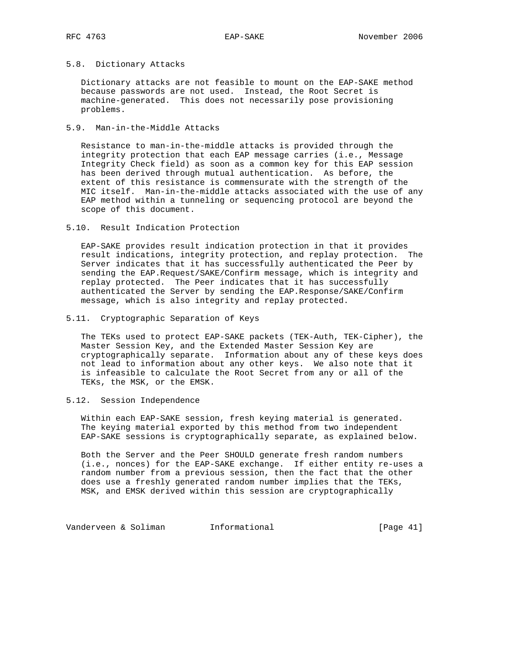# 5.8. Dictionary Attacks

 Dictionary attacks are not feasible to mount on the EAP-SAKE method because passwords are not used. Instead, the Root Secret is machine-generated. This does not necessarily pose provisioning problems.

### 5.9. Man-in-the-Middle Attacks

 Resistance to man-in-the-middle attacks is provided through the integrity protection that each EAP message carries (i.e., Message Integrity Check field) as soon as a common key for this EAP session has been derived through mutual authentication. As before, the extent of this resistance is commensurate with the strength of the MIC itself. Man-in-the-middle attacks associated with the use of any EAP method within a tunneling or sequencing protocol are beyond the scope of this document.

# 5.10. Result Indication Protection

 EAP-SAKE provides result indication protection in that it provides result indications, integrity protection, and replay protection. The Server indicates that it has successfully authenticated the Peer by sending the EAP.Request/SAKE/Confirm message, which is integrity and replay protected. The Peer indicates that it has successfully authenticated the Server by sending the EAP.Response/SAKE/Confirm message, which is also integrity and replay protected.

#### 5.11. Cryptographic Separation of Keys

 The TEKs used to protect EAP-SAKE packets (TEK-Auth, TEK-Cipher), the Master Session Key, and the Extended Master Session Key are cryptographically separate. Information about any of these keys does not lead to information about any other keys. We also note that it is infeasible to calculate the Root Secret from any or all of the TEKs, the MSK, or the EMSK.

#### 5.12. Session Independence

 Within each EAP-SAKE session, fresh keying material is generated. The keying material exported by this method from two independent EAP-SAKE sessions is cryptographically separate, as explained below.

 Both the Server and the Peer SHOULD generate fresh random numbers (i.e., nonces) for the EAP-SAKE exchange. If either entity re-uses a random number from a previous session, then the fact that the other does use a freshly generated random number implies that the TEKs, MSK, and EMSK derived within this session are cryptographically

Vanderveen & Soliman Informational (Page 41)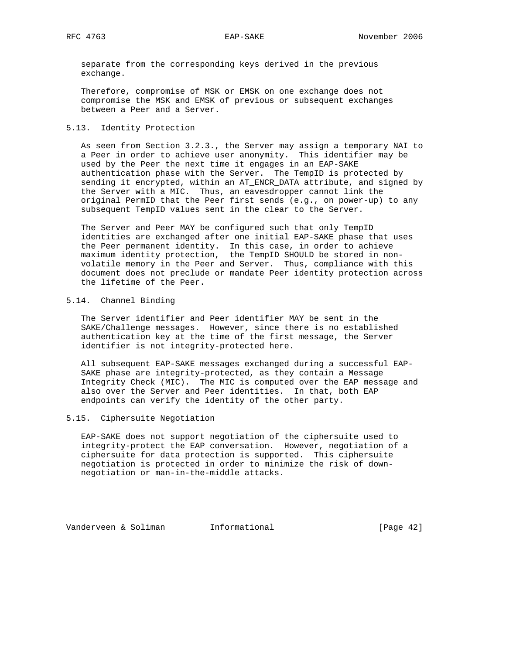separate from the corresponding keys derived in the previous exchange.

 Therefore, compromise of MSK or EMSK on one exchange does not compromise the MSK and EMSK of previous or subsequent exchanges between a Peer and a Server.

# 5.13. Identity Protection

 As seen from Section 3.2.3., the Server may assign a temporary NAI to a Peer in order to achieve user anonymity. This identifier may be used by the Peer the next time it engages in an EAP-SAKE authentication phase with the Server. The TempID is protected by sending it encrypted, within an AT\_ENCR\_DATA attribute, and signed by the Server with a MIC. Thus, an eavesdropper cannot link the original PermID that the Peer first sends (e.g., on power-up) to any subsequent TempID values sent in the clear to the Server.

 The Server and Peer MAY be configured such that only TempID identities are exchanged after one initial EAP-SAKE phase that uses the Peer permanent identity. In this case, in order to achieve maximum identity protection, the TempID SHOULD be stored in non volatile memory in the Peer and Server. Thus, compliance with this document does not preclude or mandate Peer identity protection across the lifetime of the Peer.

# 5.14. Channel Binding

 The Server identifier and Peer identifier MAY be sent in the SAKE/Challenge messages. However, since there is no established authentication key at the time of the first message, the Server identifier is not integrity-protected here.

 All subsequent EAP-SAKE messages exchanged during a successful EAP- SAKE phase are integrity-protected, as they contain a Message Integrity Check (MIC). The MIC is computed over the EAP message and also over the Server and Peer identities. In that, both EAP endpoints can verify the identity of the other party.

# 5.15. Ciphersuite Negotiation

 EAP-SAKE does not support negotiation of the ciphersuite used to integrity-protect the EAP conversation. However, negotiation of a ciphersuite for data protection is supported. This ciphersuite negotiation is protected in order to minimize the risk of down negotiation or man-in-the-middle attacks.

Vanderveen & Soliman Informational [Page 42]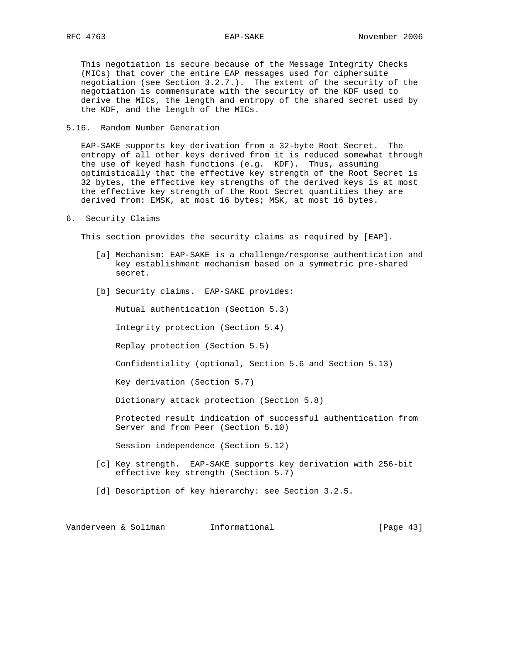This negotiation is secure because of the Message Integrity Checks (MICs) that cover the entire EAP messages used for ciphersuite negotiation (see Section 3.2.7.). The extent of the security of the negotiation is commensurate with the security of the KDF used to derive the MICs, the length and entropy of the shared secret used by the KDF, and the length of the MICs.

5.16. Random Number Generation

 EAP-SAKE supports key derivation from a 32-byte Root Secret. The entropy of all other keys derived from it is reduced somewhat through the use of keyed hash functions (e.g. KDF). Thus, assuming optimistically that the effective key strength of the Root Secret is 32 bytes, the effective key strengths of the derived keys is at most the effective key strength of the Root Secret quantities they are derived from: EMSK, at most 16 bytes; MSK, at most 16 bytes.

6. Security Claims

This section provides the security claims as required by [EAP].

- [a] Mechanism: EAP-SAKE is a challenge/response authentication and key establishment mechanism based on a symmetric pre-shared secret.
- [b] Security claims. EAP-SAKE provides:

Mutual authentication (Section 5.3)

Integrity protection (Section 5.4)

Replay protection (Section 5.5)

Confidentiality (optional, Section 5.6 and Section 5.13)

Key derivation (Section 5.7)

Dictionary attack protection (Section 5.8)

 Protected result indication of successful authentication from Server and from Peer (Section 5.10)

Session independence (Section 5.12)

- [c] Key strength. EAP-SAKE supports key derivation with 256-bit effective key strength (Section 5.7)
- [d] Description of key hierarchy: see Section 3.2.5.

Vanderveen & Soliman Informational [Page 43]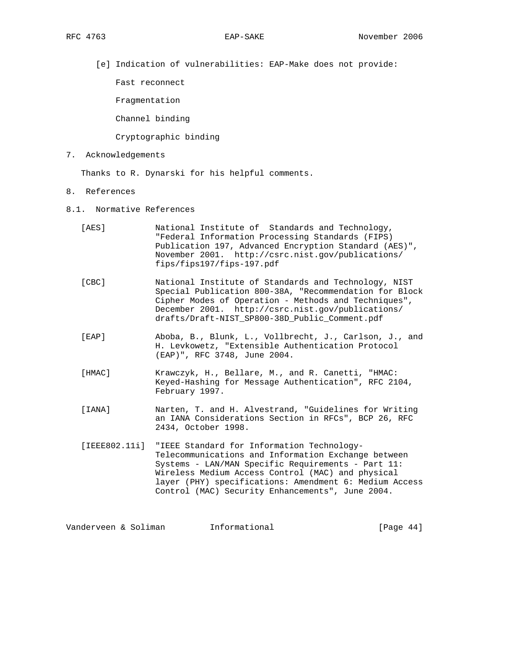[e] Indication of vulnerabilities: EAP-Make does not provide:

Fast reconnect

Fragmentation

Channel binding

#### Cryptographic binding

7. Acknowledgements

Thanks to R. Dynarski for his helpful comments.

- 8. References
- 8.1. Normative References
	- [AES] National Institute of Standards and Technology, "Federal Information Processing Standards (FIPS) Publication 197, Advanced Encryption Standard (AES)", November 2001. http://csrc.nist.gov/publications/ fips/fips197/fips-197.pdf
	- [CBC] National Institute of Standards and Technology, NIST Special Publication 800-38A, "Recommendation for Block Cipher Modes of Operation - Methods and Techniques", December 2001. http://csrc.nist.gov/publications/ drafts/Draft-NIST\_SP800-38D\_Public\_Comment.pdf
	- [EAP] Aboba, B., Blunk, L., Vollbrecht, J., Carlson, J., and H. Levkowetz, "Extensible Authentication Protocol (EAP)", RFC 3748, June 2004.
	- [HMAC] Krawczyk, H., Bellare, M., and R. Canetti, "HMAC: Keyed-Hashing for Message Authentication", RFC 2104, February 1997.
	- [IANA] Narten, T. and H. Alvestrand, "Guidelines for Writing an IANA Considerations Section in RFCs", BCP 26, RFC 2434, October 1998.
	- [IEEE802.11i] "IEEE Standard for Information Technology- Telecommunications and Information Exchange between Systems - LAN/MAN Specific Requirements - Part 11: Wireless Medium Access Control (MAC) and physical layer (PHY) specifications: Amendment 6: Medium Access Control (MAC) Security Enhancements", June 2004.

Vanderveen & Soliman Informational [Page 44]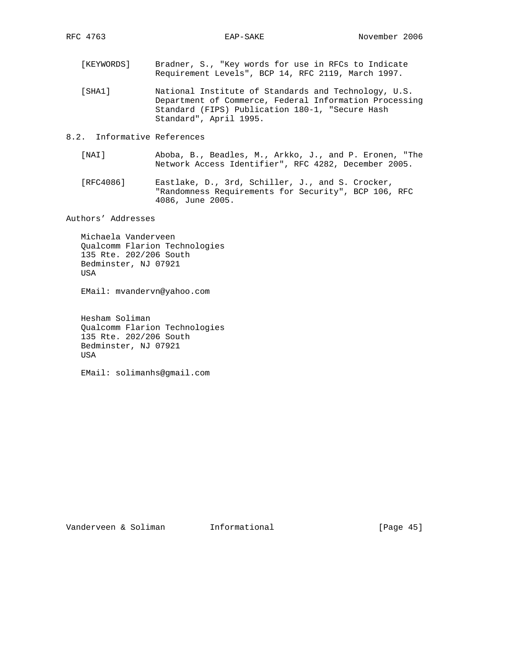- [KEYWORDS] Bradner, S., "Key words for use in RFCs to Indicate Requirement Levels", BCP 14, RFC 2119, March 1997.
- [SHA1] National Institute of Standards and Technology, U.S. Department of Commerce, Federal Information Processing Standard (FIPS) Publication 180-1, "Secure Hash Standard", April 1995.
- 8.2. Informative References
	- [NAI] Aboba, B., Beadles, M., Arkko, J., and P. Eronen, "The Network Access Identifier", RFC 4282, December 2005.
	- [RFC4086] Eastlake, D., 3rd, Schiller, J., and S. Crocker, "Randomness Requirements for Security", BCP 106, RFC 4086, June 2005.

Authors' Addresses

 Michaela Vanderveen Qualcomm Flarion Technologies 135 Rte. 202/206 South Bedminster, NJ 07921 USA

EMail: mvandervn@yahoo.com

 Hesham Soliman Qualcomm Flarion Technologies 135 Rte. 202/206 South Bedminster, NJ 07921 USA

EMail: solimanhs@gmail.com